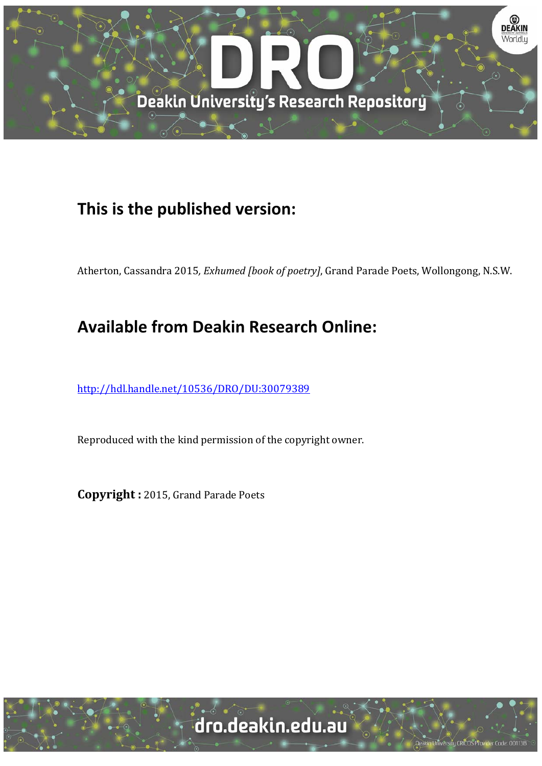

# **This is the published version:**

Atherton, Cassandra 2015*, Exhumed [book of poetry]*, Grand Parade Poets, Wollongong, N.S.W. 

# **Available from Deakin Research Online:**

http://hdl.handle.net/10536/DRO/DU:30079389

Reproduced with the kind permission of the copyright owner.

**Copyright** : 2015, Grand Parade Poets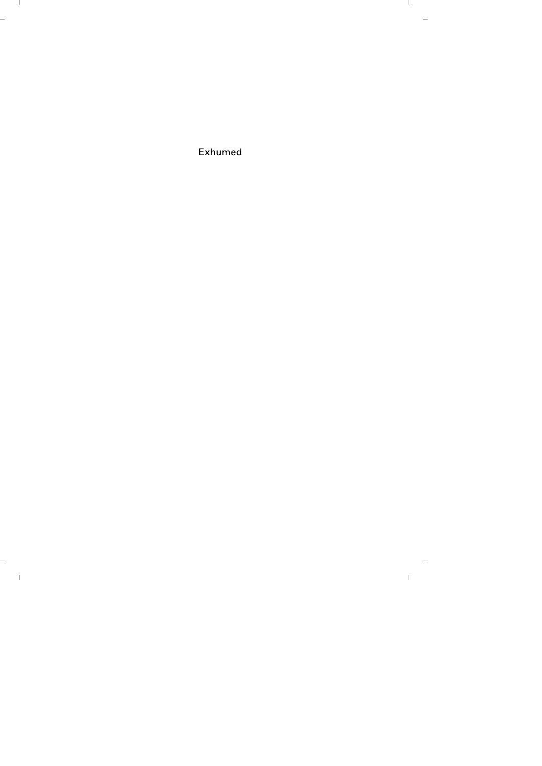Exhumed

 $\mathbf{L}$ 

 $\bar{\Gamma}$ 

 $\frac{1}{2}$ 

 $\mathbf{L}$ 

 $\overline{a}$ 

 $\overline{a}$  $\sim 1$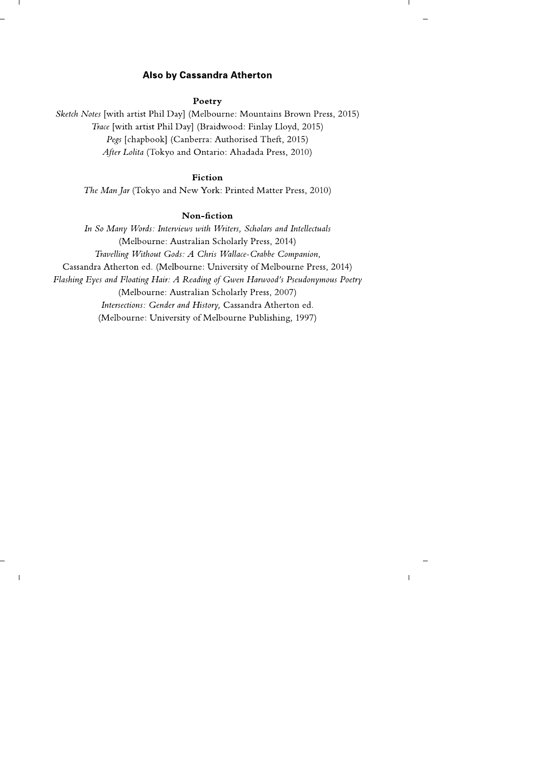# **Also by Cassandra Atherton**

#### Poetry

Sketch Notes [with artist Phil Day] (Melbourne: Mountains Brown Press, 2015) Trace [with artist Phil Day] (Braidwood: Finlay Lloyd, 2015) Pegs [chapbook] (Canberra: Authorised Theft, 2015) After Lolita (Tokyo and Ontario: Ahadada Press, 2010)

#### Fiction

The Man Jar (Tokyo and New York: Printed Matter Press, 2010)

# Non-fiction

In So Many Words: Interviews with Writers, Scholars and Intellectuals (Melbourne: Australian Scholarly Press, 2014) Travelling Without Gods: A Chris Wallace-Crabbe Companion, Cassandra Atherton ed. (Melbourne: University of Melbourne Press, 2014) Flashing Eyes and Floating Hair: A Reading of Gwen Harwood's Pseudonymous Poetry (Melbourne: Australian Scholarly Press, 2007) Intersections: Gender and History, Cassandra Atherton ed. (Melbourne: University of Melbourne Publishing, 1997)

 $\overline{1}$ 

 $\overline{\phantom{a}}$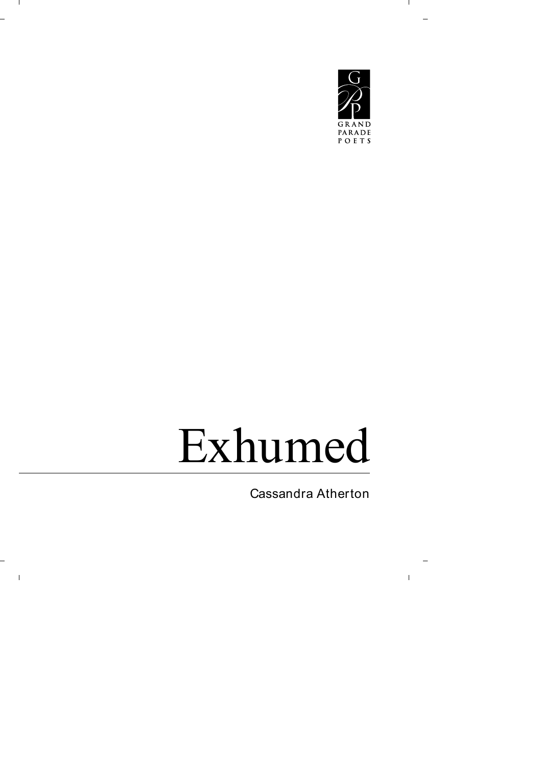

 $\mathbf{I}$ 

 $\overline{1}$ 

 $\overline{\phantom{a}}$ 

# Exhumed

 $\mathbf{I}$ 

 $\overline{a}$ 

 $\equiv$ 

 $\perp$ 

Cassandra Atherton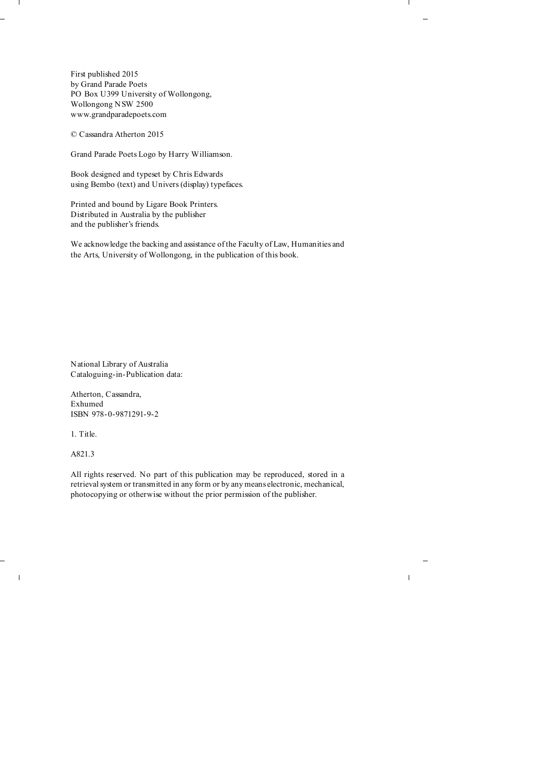First published 2015 by Grand Parade Poets PO Box U399 University of Wollongong, Wollongong NSW 2500 www.grandparadepoets.com

© Cassandra Atherton 2015

Grand Parade Poets Logo by Harry Williamson.

Book designed and typeset by Chris Edwards using Bembo (text) and Univers (display) typefaces.

Printed and bound by Ligare Book Printers. Distributed in Australia by the publisher and the publisher's friends.

We acknowledge the backing and assistance of the Faculty of Law, Humanities and the Arts, University of Wollongong, in the publication of this book.

-1

 $\overline{1}$ 

National Library of Australia Cataloguing-in-Publication data:

Atherton, Cassandra, Exhumed ISBN 978-0-9871291-9-2

1. Title.

A821.3

 $\mathbb{I}$ 

All rights reserved. No part of this publication may be reproduced, stored in a retrieval system or transmitted in any form or by any means electronic, mechanical, photocopying or otherwise without the prior permission of the publisher.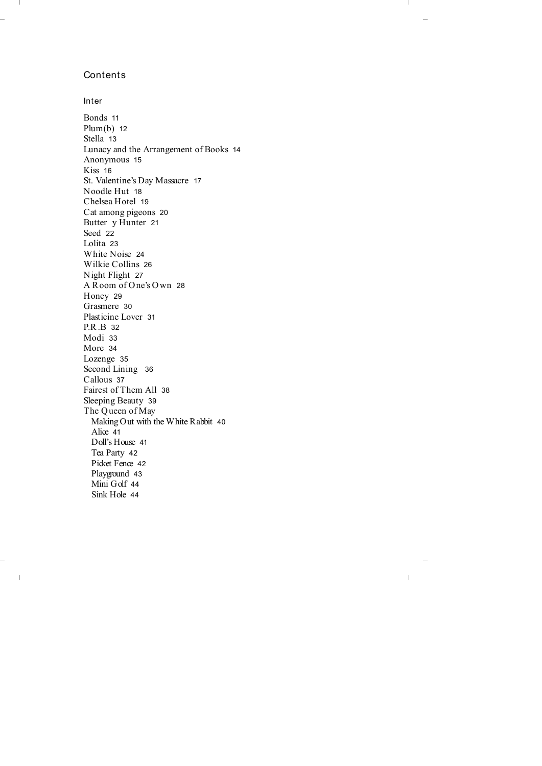# Contents

Inter

 $\mathbf{I}$ 

i<br>L

 $\bar{\mathbb{L}}$ 

Bonds 11 Plum(b) 12 Stella<sub>13</sub> Lunacy and the Arrangement of Books 14 Anonymous 15 Kiss 16 St. Valentine's Day Massacre 17 Noodle Hut 18 Chelsea Hotel 19 Cat among pigeons 20 Butter y Hunter 21 Seed 22 Lolita 23 White Noise 24 Wilkie Collins 26 Night Flight 27 A Room of One's O wn 28 Honey 29 Grasmere 30 Plasticine Lover 31 P.R .B 32 Modi 33 More 34 Lozenge 35 Second Lining 36 Callous 37 Fairest of Them All 38 Sleeping Beauty 39 The Queen of May Making Out with the White Rabbit 40 Alice 41 Doll's House 41 Tea Party 42 Picket Fence 42 Playground 43 Mini Golf 44 Sink Hole 44

 $\mathbf{I}$ 

 $\overline{1}$ 

 $\overline{\phantom{a}}$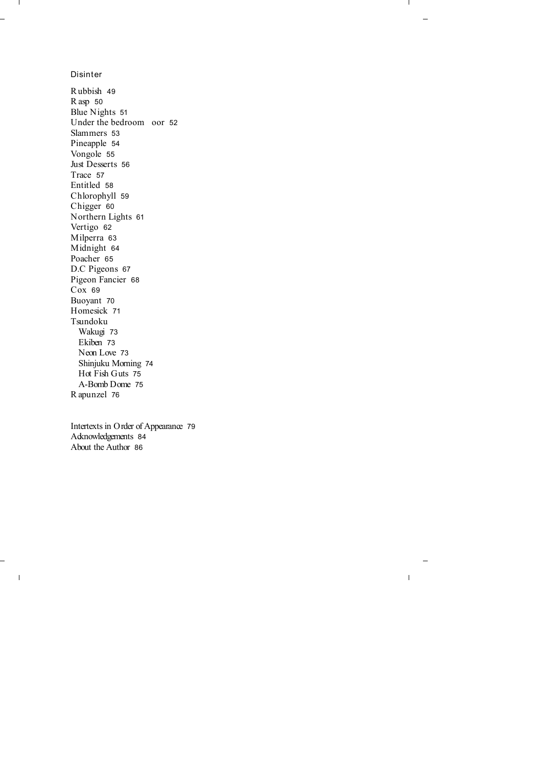Disinter

 $\mathbf{I}$ 

 $\bar{1}$ 

R ubbish 49 R asp 50 Blue Nights 51 Under the bedroom oor 52 Slammers 53 Pineapple 54 Vongole 55 Just Desserts 56 Trace 57 Entitled 58 Chlorophyll 59 Chigger 60 Northern Lights 61 Vertigo 62 Milperra 63 Midnight 64 Poacher 65 D.C Pigeons 67 Pigeon Fancier 68 Cox 69 Buoyant 70 Homesick 71 Tsundoku Wakugi 73 Ekiben 73 Neon Love 73 Shinjuku Morning 74 Hot Fish Guts 75 A-Bomb Dome 75 R apunzel 76

 $\mathbf{I}$ 

 $\overline{1}$ 

 $\overline{\phantom{a}}$ 

Intertexts in Order of Appearance 79 Acknowledgements 84 About the Author 86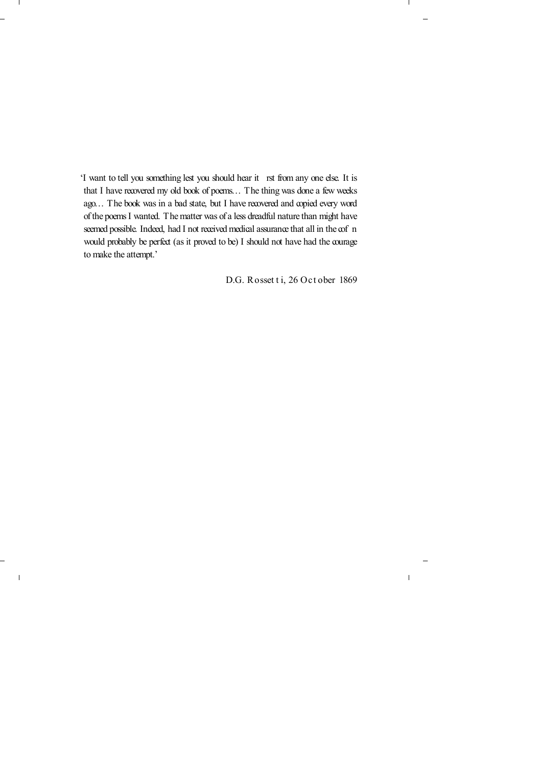'I want to tell you something lest you should hear it rst from any one else. It is that I have recovered my old book of poems… The thing was done a few weeks ago… The book was in a bad state, but I have recovered and copied every word of the poems I wanted. The matter was of a less dreadful nature than might have seemed possible. Indeed, had I not received medical assurance that all in the cof n would probably be perfect (as it proved to be) I should not have had the courage to make the attempt.'

 $\mathbf{I}$ 

 $\mathbb T$ 

D.G. Rosset t i, 26 Oct ober 1869

 $\mathbf{I}$ 

 $\mathbb T$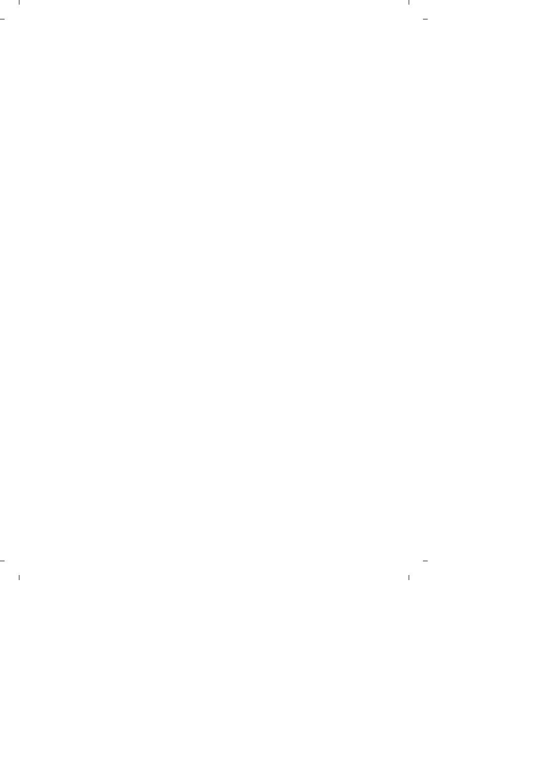$\mathbf{L}$  $\frac{1}{\sqrt{2}}$ 

- 1

 $\begin{array}{c}\n\hline\n\end{array}$ 

 $\overline{a}$ 

 $\frac{1}{\sqrt{2\pi}}\int_{0}^{\sqrt{2\pi}}\frac{1}{\sqrt{2\pi}}\left( \frac{1}{\sqrt{2\pi}}\right) \frac{1}{\sqrt{2\pi}}\int_{0}^{\sqrt{2\pi}}\frac{1}{\sqrt{2\pi}}\left( \frac{1}{\sqrt{2\pi}}\right) \frac{1}{\sqrt{2\pi}}\int_{0}^{\sqrt{2\pi}}\frac{1}{\sqrt{2\pi}}\frac{1}{\sqrt{2\pi}}\frac{1}{\sqrt{2\pi}}\frac{1}{\sqrt{2\pi}}\int_{0}^{\sqrt{2\pi}}\frac{1}{\sqrt{2\pi}}\frac{1}{\sqrt{2\pi}}$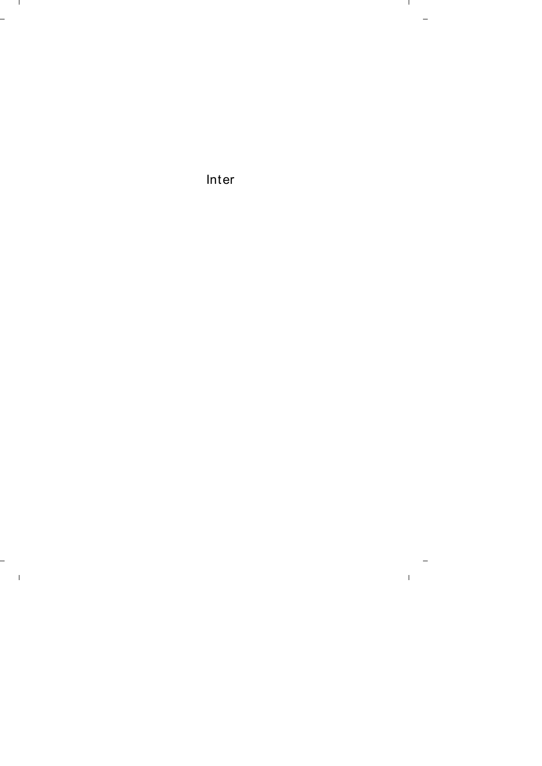Inter

 $\mathbf{I}$ 

 $\bar{\bar{1}}$ 

 $\frac{1}{2}$ 

 $\mathbf{I}$ 

 $\begin{array}{c} \begin{array}{c} \hline \hline \hline \hline \hline \hline \end{array} \end{array}$ 

 $\overline{a}$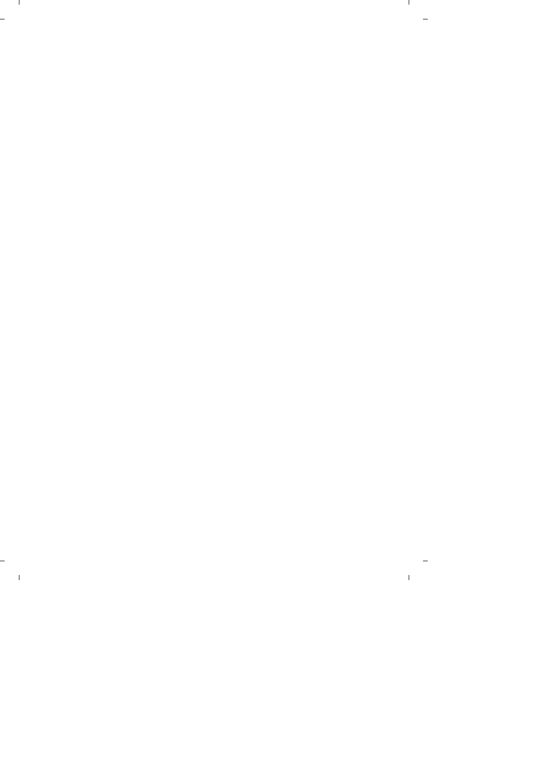$\mathbf{L}$  $\frac{1}{\sqrt{2}}$ 

- 1

 $\begin{array}{c}\n\hline\n\end{array}$ 

 $\overline{a}$ 

 $\frac{1}{\sqrt{2\pi}}\int_{0}^{\sqrt{2\pi}}\frac{1}{\sqrt{2\pi}}\left( \frac{1}{\sqrt{2\pi}}\right) \frac{1}{\sqrt{2\pi}}\int_{0}^{\sqrt{2\pi}}\frac{1}{\sqrt{2\pi}}\left( \frac{1}{\sqrt{2\pi}}\right) \frac{1}{\sqrt{2\pi}}\int_{0}^{\sqrt{2\pi}}\frac{1}{\sqrt{2\pi}}\frac{1}{\sqrt{2\pi}}\frac{1}{\sqrt{2\pi}}\frac{1}{\sqrt{2\pi}}\int_{0}^{\sqrt{2\pi}}\frac{1}{\sqrt{2\pi}}\frac{1}{\sqrt{2\pi}}$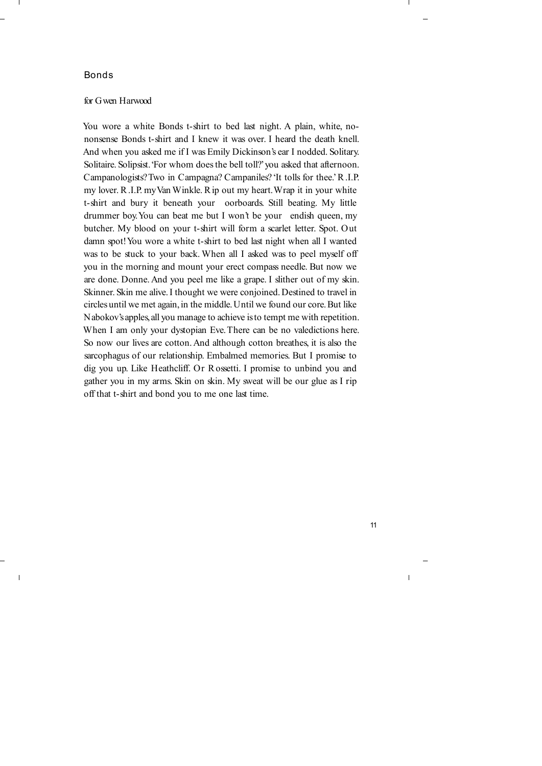# Bonds

 $\mathbf{I}$ 

#### for Gwen Harwood

You wore a white Bonds t-shirt to bed last night. A plain, white, nononsense Bonds t-shirt and I knew it was over. I heard the death knell. And when you asked me if I was Emily Dickinson's ear I nodded. Solitary. Solitaire. Solipsist. 'For whom does the bell toll?' you asked that afternoon. Campanologists? Two in Campagna? Campaniles? 'It tolls for thee.' R .I.P. my lover. R .I.P. my Van Winkle. R ip out my heart. Wrap it in your white t-shirt and bury it beneath your oorboards. Still beating. My little drummer boy. You can beat me but I won't be your endish queen, my butcher. My blood on your t-shirt will form a scarlet letter. Spot. Out damn spot! You wore a white t-shirt to bed last night when all I wanted was to be stuck to your back. When all I asked was to peel myself off you in the morning and mount your erect compass needle. But now we are done. Donne. And you peel me like a grape. I slither out of my skin. Skinner. Skin me alive. I thought we were conjoined. Destined to travel in circles until we met again, in the middle. Until we found our core. But like Nabokov's apples, all you manage to achieve is to tempt me with repetition. When I am only your dystopian Eve. There can be no valedictions here. So now our lives are cotton. And although cotton breathes, it is also the sarcophagus of our relationship. Embalmed memories. But I promise to dig you up. Like Heathcliff. Or R ossetti. I promise to unbind you and gather you in my arms. Skin on skin. My sweat will be our glue as I rip off that t-shirt and bond you to me one last time.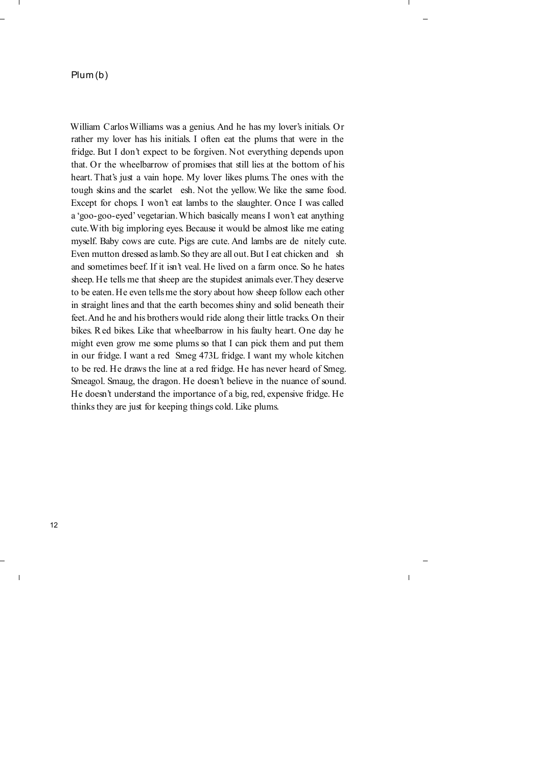#### Plum (b)

William Carlos Williams was a genius. And he has my lover's initials. Or rather my lover has his initials. I often eat the plums that were in the fridge. But I don't expect to be forgiven. Not everything depends upon that. Or the wheelbarrow of promises that still lies at the bottom of his heart. That's just a vain hope. My lover likes plums. The ones with the tough skins and the scarlet esh. Not the yellow. We like the same food. Except for chops. I won't eat lambs to the slaughter. Once I was called a 'goo-goo-eyed' vegetarian. Which basically means I won't eat anything cute. With big imploring eyes. Because it would be almost like me eating myself. Baby cows are cute. Pigs are cute. And lambs are denitely cute. Even mutton dressed as lamb. So they are all out. But I eat chicken and sh and sometimes beef. If it isn't veal. He lived on a farm once. So he hates sheep. He tells me that sheep are the stupidest animals ever. They deserve to be eaten. He even tells me the story about how sheep follow each other in straight lines and that the earth becomes shiny and solid beneath their feet. And he and his brothers would ride along their little tracks. On their bikes. R ed bikes. Like that wheelbarrow in his faulty heart. One day he might even grow me some plums so that I can pick them and put them in our fridge. I want a red Smeg 473L fridge. I want my whole kitchen to be red. He draws the line at a red fridge. He has never heard of Smeg. Smeagol. Smaug, the dragon. He doesn't believe in the nuance of sound. He doesn't understand the importance of a big, red, expensive fridge. He thinks they are just for keeping things cold. Like plums.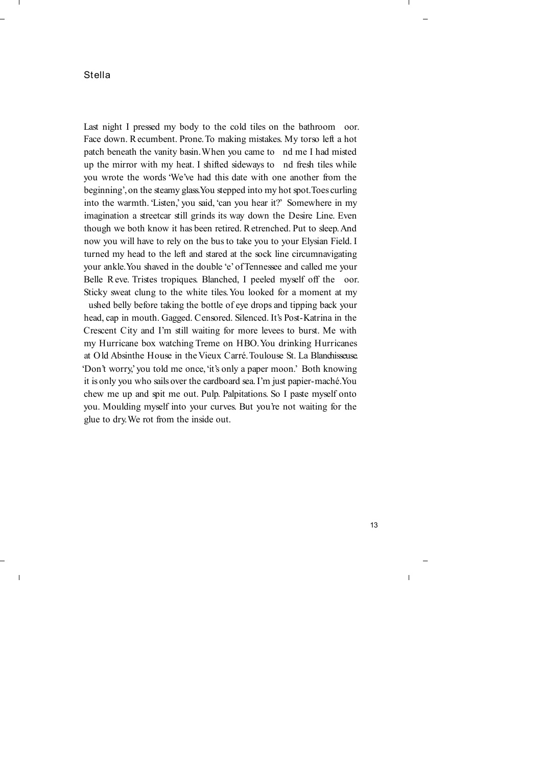#### Stella

 $\mathbf{I}$ 

Last night I pressed my body to the cold tiles on the bathroom oor. Face down. R ecumbent. Prone. To making mistakes. My torso left a hot patch beneath the vanity basin. When you came to nd me I had misted up the mirror with my heat. I shifted sideways to nd fresh tiles while you wrote the words 'We've had this date with one another from the beginning', on the steamy glass. You stepped into my hot spot. Toes curling into the warmth. 'Listen,' you said, 'can you hear it?' Somewhere in my imagination a streetcar still grinds its way down the Desire Line. Even though we both know it has been retired. R etrenched. Put to sleep. And now you will have to rely on the bus to take you to your Elysian Field. I turned my head to the left and stared at the sock line circumnavigating your ankle. You shaved in the double 'e' of Tennessee and called me your Belle R eve. Tristes tropiques. Blanched, I peeled myself off the oor. Sticky sweat clung to the white tiles. You looked for a moment at my ushed belly before taking the bottle of eye drops and tipping back your head, cap in mouth. Gagged. Censored. Silenced. It's Post-Katrina in the Crescent City and I'm still waiting for more levees to burst. Me with my Hurricane box watching Treme on HBO. You drinking Hurricanes at Old Absinthe House in the Vieux Carré. Toulouse St. La Blanchisseuse. 'Don't worry,' you told me once, 'it's only a paper moon.' Both knowing it is only you who sails over the cardboard sea. I'm just papier-maché. You chew me up and spit me out. Pulp. Palpitations. So I paste myself onto you. Moulding myself into your curves. But you're not waiting for the glue to dry. We rot from the inside out.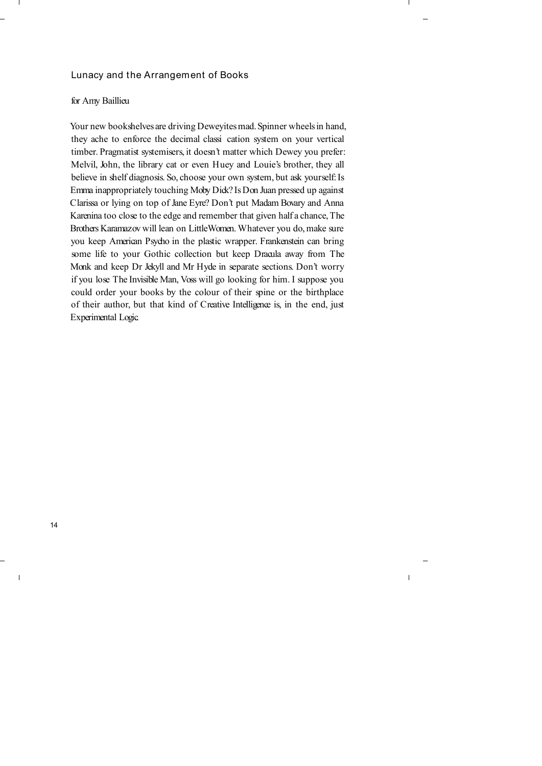# Lunacy and the Arrangement of Books

#### for Amy Baillieu

Your new bookshelves are driving Deweyites mad. Spinner wheels in hand, they ache to enforce the decimal classication system on your vertical timber. Pragmatist systemisers, it doesn't matter which Dewey you prefer: Melvil, John, the library cat or even Huey and Louie's brother, they all believe in shelf diagnosis. So, choose your own system, but ask yourself: Is Emma inappropriately touching Moby Dick? Is Don Juan pressed up against Clarissa or lying on top of Jane Eyre? Don't put Madam Bovary and Anna Karenina too close to the edge and remember that given half a chance, The Brothers Karamazov will lean on Little Women. Whatever you do, make sure you keep American Psycho in the plastic wrapper. Frankenstein can bring some life to your Gothic collection but keep Dracula away from The Monk and keep Dr Jekyll and Mr Hyde in separate sections. Don't worry if you lose The Invisible Man, Voss will go looking for him. I suppose you could order your books by the colour of their spine or the birthplace of their author, but that kind of Creative Intelligence is, in the end, just Experimental Logic.

 $\overline{1}$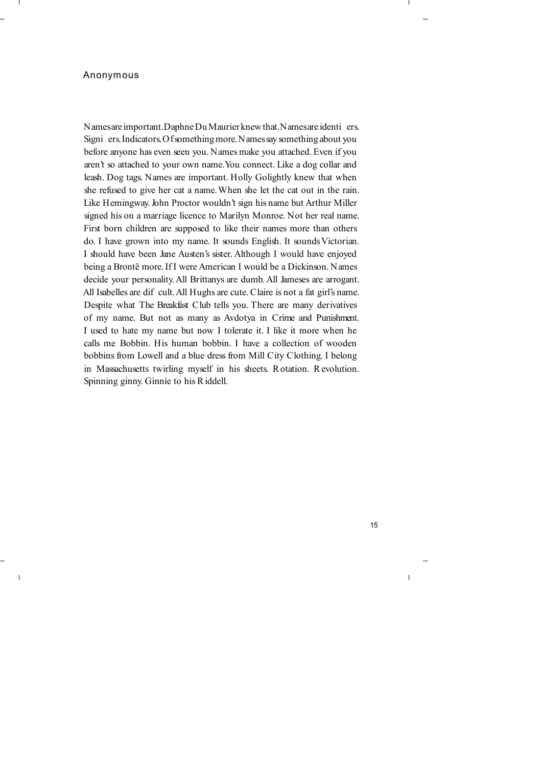#### Anonymous

 $\mathbf{I}$ 

Names are important. Daphne Du Maurier knew that. Names are identiers. Signi ers. Indicators. Of something more. Names say something about you before anyone has even seen you. Names make you attached. Even if you aren't so attached to your own name. You connect. Like a dog collar and leash. Dog tags. Names are important. Holly Golightly knew that when she refused to give her cat a name. When she let the cat out in the rain. Like Hemingway. John Proctor wouldn't sign his name but Arthur Miller signed his on a marriage licence to Marilyn Monroe. Not her real name. First born children are supposed to like their names more than others do. I have grown into my name. It sounds English. It sounds Victorian. I should have been Jane Austen's sister. Although I would have enjoyed being a Brontë more. If I were American I would be a Dickinson. Names decide your personality. All Brittanys are dumb. All Jameses are arrogant. All Isabelles are dif cult. All Hughs are cute. Claire is not a fat girl's name. Despite what The Breakfast Club tells you. There are many derivatives of my name. But not as many as Avdotya in Crime and Punishment. I used to hate my name but now I tolerate it. I like it more when he calls me Bobbin. His human bobbin. I have a collection of wooden bobbins from Lowell and a blue dress from Mill City Clothing. I belong in Massachusetts twirling myself in his sheets. R otation. R evolution. Spinning ginny. Ginnie to his R iddell.

 $\overline{1}$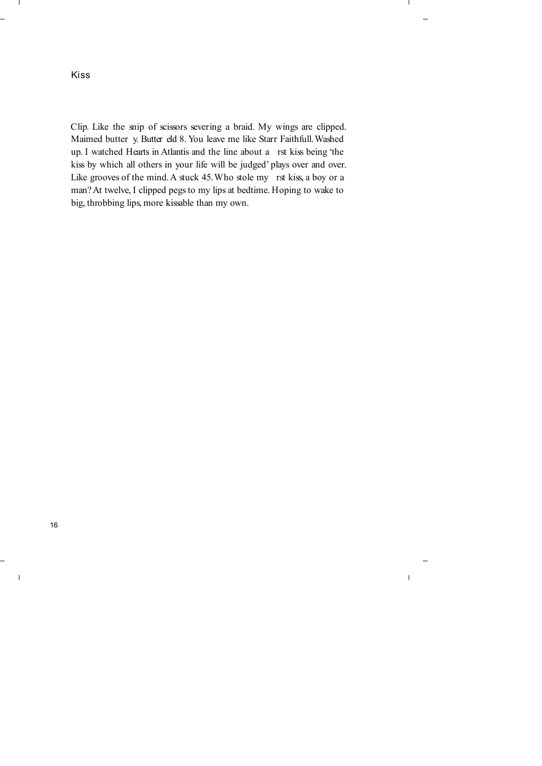# Kiss

 $\mathbf{I}$ 

Clip. Like the snip of scissors severing a braid. My wings are clipped. Maimed butter y. Butter eld 8. You leave me like Starr Faithfull. Washed up. I watched Hearts in Atlantis and the line about a rst kiss being 'the kiss by which all others in your life will be judged' plays over and over. Like grooves of the mind. A stuck 45. Who stole my rst kiss, a boy or a man? At twelve, I clipped pegs to my lips at bedtime. Hoping to wake to big, throbbing lips, more kissable than my own.

 $\mathbf{I}$ 

 $\bar{1}$ 

 $\mathbb T$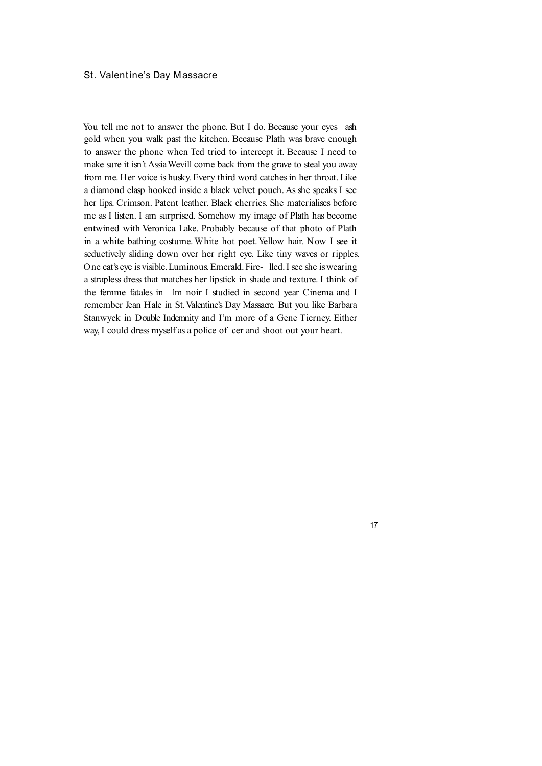#### St. Valentine's Day Massacre

 $\mathbf{I}$ 

You tell me not to answer the phone. But I do. Because your eyes ash gold when you walk past the kitchen. Because Plath was brave enough to answer the phone when Ted tried to intercept it. Because I need to make sure it isn't Assia Wevill come back from the grave to steal you away from me. Her voice is husky. Every third word catches in her throat. Like a diamond clasp hooked inside a black velvet pouch. As she speaks I see her lips. Crimson. Patent leather. Black cherries. She materialises before me as I listen. I am surprised. Somehow my image of Plath has become entwined with Veronica Lake. Probably because of that photo of Plath in a white bathing costume. White hot poet. Yellow hair. Now I see it seductively sliding down over her right eye. Like tiny waves or ripples. One cat's eye is visible. Luminous. Emerald. Fire-lled. I see she is wearing a strapless dress that matches her lipstick in shade and texture. I think of the femme fatales in lm noir I studied in second year Cinema and I remember Jean Hale in St. Valentine's Day Massacre. But you like Barbara Stanwyck in Double Indemnity and I'm more of a Gene Tierney. Either way, I could dress myself as a police of cer and shoot out your heart.

17

 $\overline{1}$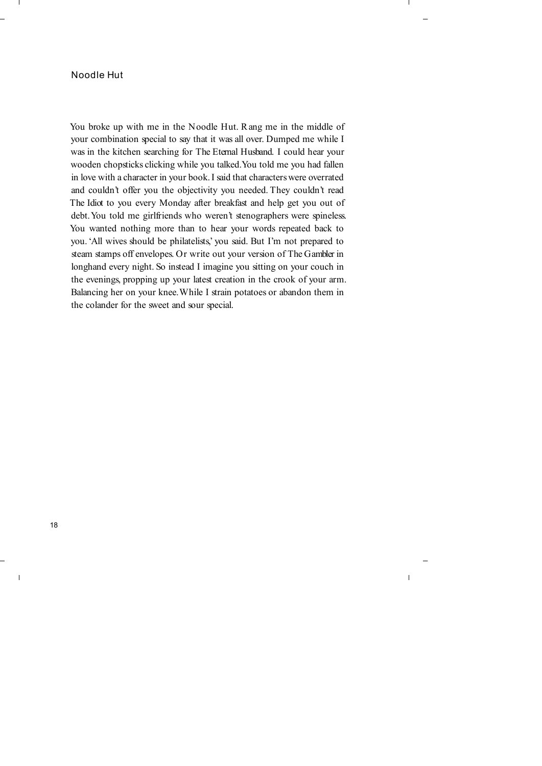# Noodle Hut

You broke up with me in the Noodle Hut. R ang me in the middle of your combination special to say that it was all over. Dumped me while I was in the kitchen searching for The Eternal Husband. I could hear your wooden chopsticks clicking while you talked. You told me you had fallen in love with a character in your book. I said that characters were overrated and couldn't offer you the objectivity you needed. They couldn't read The Idiot to you every Monday after breakfast and help get you out of debt. You told me girlfriends who weren't stenographers were spineless. You wanted nothing more than to hear your words repeated back to you. 'All wives should be philatelists,' you said. But I'm not prepared to steam stamps off envelopes. Or write out your version of The Gambler in longhand every night. So instead I imagine you sitting on your couch in the evenings, propping up your latest creation in the crook of your arm. Balancing her on your knee. While I strain potatoes or abandon them in the colander for the sweet and sour special.

 $\overline{1}$ 

 $\overline{1}$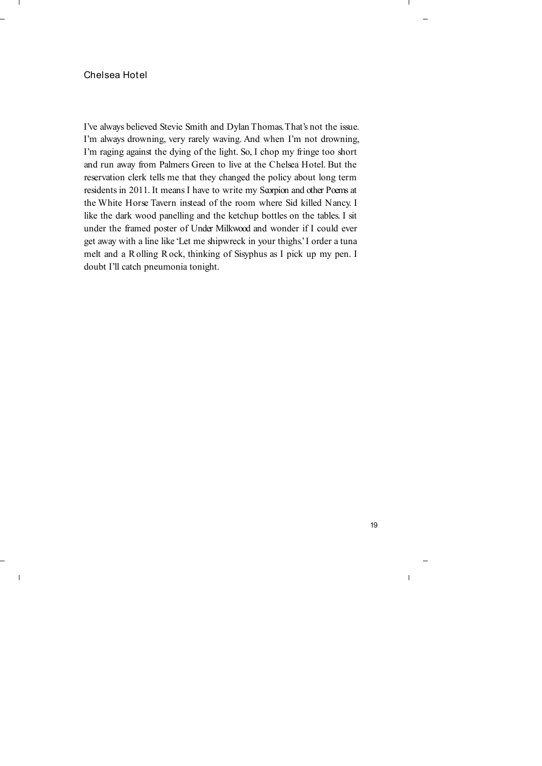## Chelsea Hotel

 $\mathbb{I}$ 

I've always believed Stevie Smith and Dylan Thomas. That's not the issue. I'm always drowning, very rarely waving. And when I'm not drowning, I'm raging against the dying of the light. So, I chop my fringe too short and run away from Palmers Green to live at the Chelsea Hotel. But the reservation clerk tells me that they changed the policy about long term residents in 2011. It means I have to write my Scorpion and other Poems at the White Horse Tavern instead of the room where Sid killed Nancy. I like the dark wood panelling and the ketchup bottles on the tables. I sit under the framed poster of Under Milkwood and wonder if I could ever get away with a line like 'Let me shipwreck in your thighs.' I order a tuna melt and a R olling R ock, thinking of Sisyphus as I pick up my pen. I doubt I'll catch pneumonia tonight.

19

 $\overline{1}$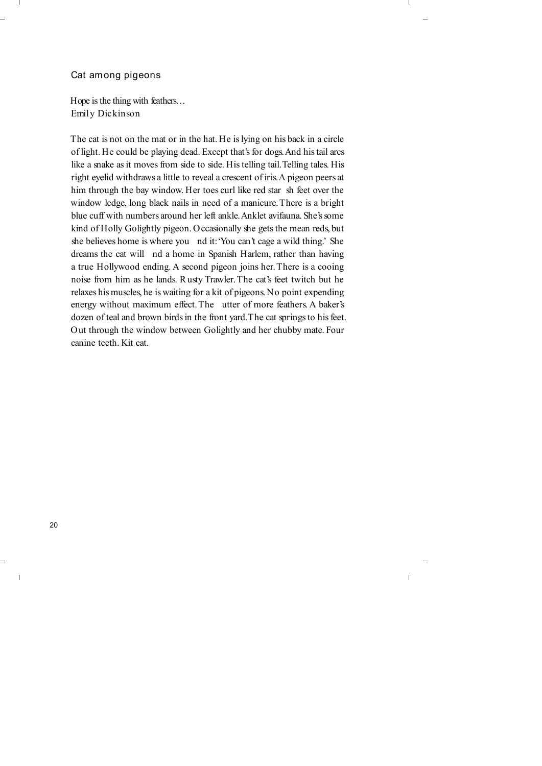# Cat among pigeons

Hope is the thing with feathers… Emily Dickinson

The cat is not on the mat or in the hat. He is lying on his back in a circle of light. He could be playing dead. Except that's for dogs. And his tail arcs like a snake as it moves from side to side. His telling tail. Telling tales. His right eyelid withdraws a little to reveal a crescent of iris. A pigeon peers at him through the bay window. Her toes curl like red star sh feet over the window ledge, long black nails in need of a manicure. There is a bright blue cuff with numbers around her left ankle. Anklet avifauna. She's some kind of Holly Golightly pigeon. Occasionally she gets the mean reds, but she believes home is where you nd it: 'You can't cage a wild thing.' She dreams the cat will nd a home in Spanish Harlem, rather than having a true Hollywood ending. A second pigeon joins her. There is a cooing noise from him as he lands. R usty Trawler. The cat's feet twitch but he relaxes his muscles, he is waiting for a kit of pigeons. No point expending energy without maximum effect. The utter of more feathers. A baker's dozen of teal and brown birds in the front yard. The cat springs to his feet. Out through the window between Golightly and her chubby mate. Four canine teeth. Kit cat.

 $\overline{1}$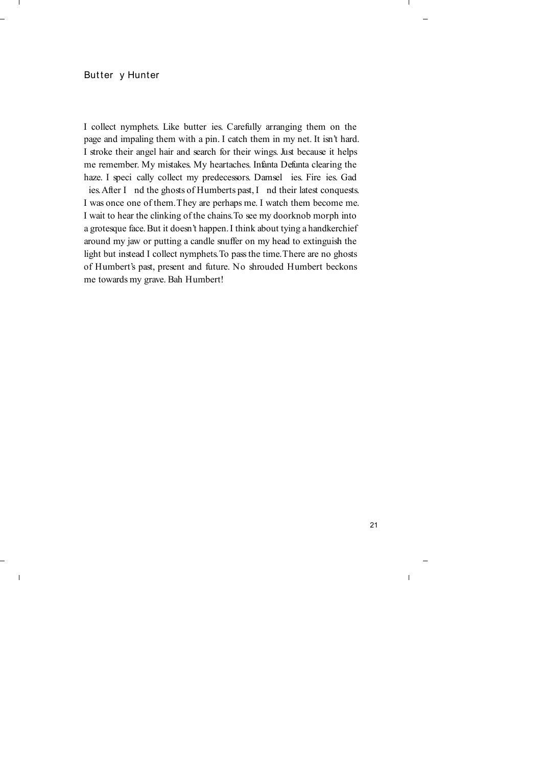#### Butter y Hunter

 $\mathbb{I}$ 

I collect nymphets. Like butter ies. Carefully arranging them on the page and impaling them with a pin. I catch them in my net. It isn't hard. I stroke their angel hair and search for their wings. Just because it helps me remember. My mistakes. My heartaches. Infanta Defunta clearing the haze. I specically collect my predecessors. Damsel ies. Fire ies. Gad ies. After I nd the ghosts of Humberts past, I nd their latest conquests. I was once one of them. They are perhaps me. I watch them become me. I wait to hear the clinking of the chains. To see my doorknob morph into a grotesque face. But it doesn't happen. I think about tying a handkerchief around my jaw or putting a candle snuffer on my head to extinguish the light but instead I collect nymphets. To pass the time. There are no ghosts of Humbert's past, present and future. No shrouded Humbert beckons me towards my grave. Bah Humbert!



 $\overline{1}$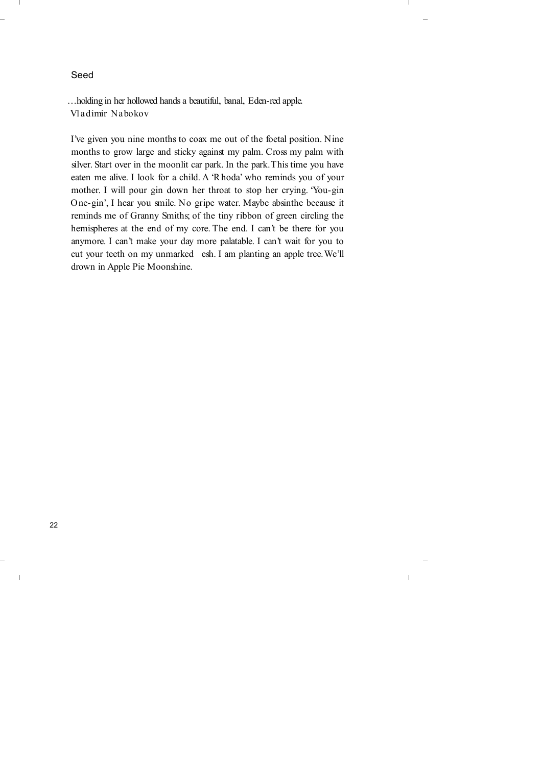# Seed

…holding in her hollowed hands a beautiful, banal, Eden-red apple. Vl adimir Nabokov

I've given you nine months to coax me out of the foetal position. Nine months to grow large and sticky against my palm. Cross my palm with silver. Start over in the moonlit car park. In the park. This time you have eaten me alive. I look for a child. A 'R hoda' who reminds you of your mother. I will pour gin down her throat to stop her crying. 'You-gin One-gin', I hear you smile. No gripe water. Maybe absinthe because it reminds me of Granny Smiths; of the tiny ribbon of green circling the hemispheres at the end of my core. The end. I can't be there for you anymore. I can't make your day more palatable. I can't wait for you to cut your teeth on my unmarked esh. I am planting an apple tree. We'll drown in Apple Pie Moonshine.

 $\overline{1}$ 

 $\mathbb{I}$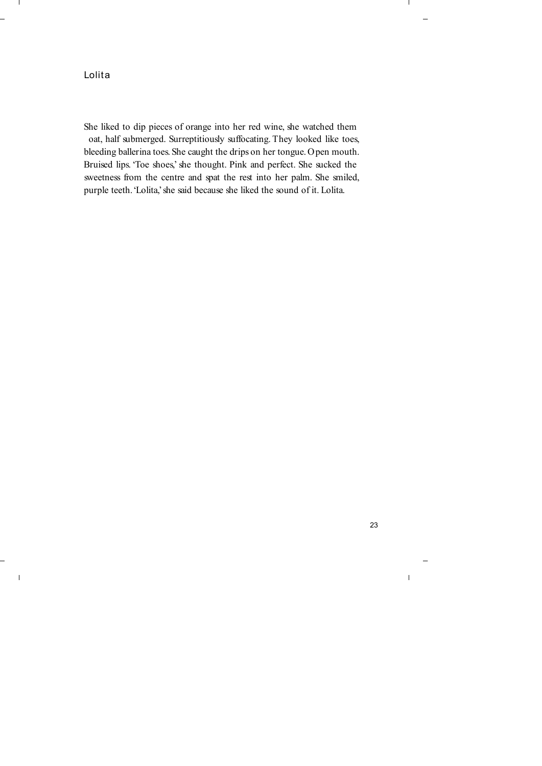# Lolita

 $\mathbf{I}$ 

 $\bar{\mathbb{L}}$ 

She liked to dip pieces of orange into her red wine, she watched them oat, half submerged. Surreptitiously suffocating. They looked like toes, bleeding ballerina toes. She caught the drips on her tongue. Open mouth. Bruised lips. 'Toe shoes,' she thought. Pink and perfect. She sucked the sweetness from the centre and spat the rest into her palm. She smiled, purple teeth. 'Lolita,' she said because she liked the sound of it. Lolita.



 $\bar{1}$ 

Τ.

 $\overline{\phantom{a}}$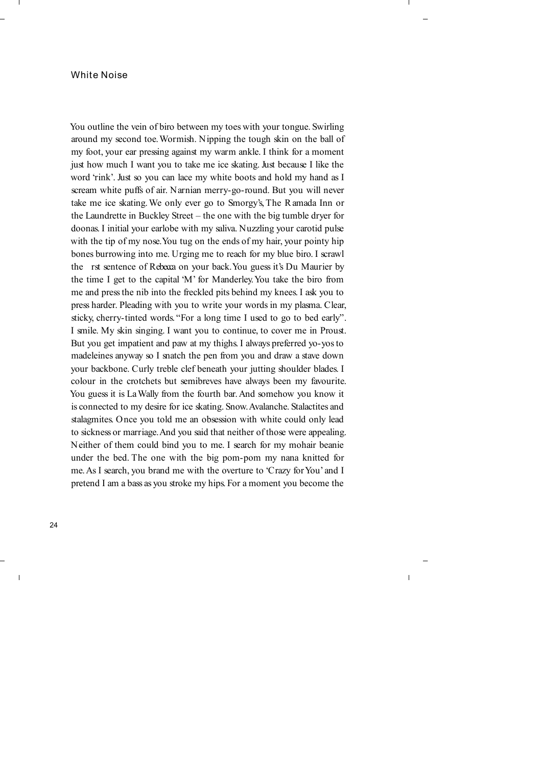#### White Noise

You outline the vein of biro between my toes with your tongue. Swirling around my second toe. Wormish. Nipping the tough skin on the ball of my foot, your ear pressing against my warm ankle. I think for a moment just how much I want you to take me ice skating. Just because I like the word 'rink'. Just so you can lace my white boots and hold my hand as I scream white puffs of air. Narnian merry-go-round. But you will never take me ice skating. We only ever go to Smorgy's, The R amada Inn or the Laundrette in Buckley Street – the one with the big tumble dryer for doonas. I initial your earlobe with my saliva. Nuzzling your carotid pulse with the tip of my nose. You tug on the ends of my hair, your pointy hip bones burrowing into me. Urging me to reach for my blue biro. I scrawl the rst sentence of Rebecca on your back. You guess it's Du Maurier by the time I get to the capital 'M' for Manderley. You take the biro from me and press the nib into the freckled pits behind my knees. I ask you to press harder. Pleading with you to write your words in my plasma. Clear, sticky, cherry-tinted words. "For a long time I used to go to bed early". I smile. My skin singing. I want you to continue, to cover me in Proust. But you get impatient and paw at my thighs. I always preferred yo-yos to madeleines anyway so I snatch the pen from you and draw a stave down your backbone. Curly treble clef beneath your jutting shoulder blades. I colour in the crotchets but semibreves have always been my favourite. You guess it is La Wally from the fourth bar. And somehow you know it is connected to my desire for ice skating. Snow. Avalanche. Stalactites and stalagmites. Once you told me an obsession with white could only lead to sickness or marriage. And you said that neither of those were appealing. Neither of them could bind you to me. I search for my mohair beanie under the bed. The one with the big pom-pom my nana knitted for me. As I search, you brand me with the overture to 'Crazy for You' and I pretend I am a bass as you stroke my hips. For a moment you become the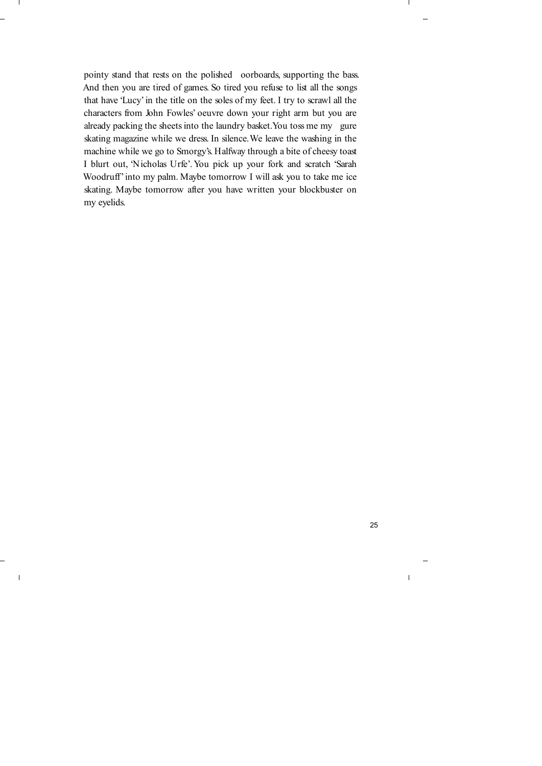pointy stand that rests on the polished oorboards, supporting the bass. And then you are tired of games. So tired you refuse to list all the songs that have 'Lucy' in the title on the soles of my feet. I try to scrawl all the characters from John Fowles' oeuvre down your right arm but you are already packing the sheets into the laundry basket. You toss me my gure skating magazine while we dress. In silence. We leave the washing in the machine while we go to Smorgy's. Halfway through a bite of cheesy toast I blurt out, 'Nicholas Urfe'. You pick up your fork and scratch 'Sarah Woodruff' into my palm. Maybe tomorrow I will ask you to take me ice skating. Maybe tomorrow after you have written your blockbuster on my eyelids.

 $\mathbb{I}$ 

25

 $\overline{1}$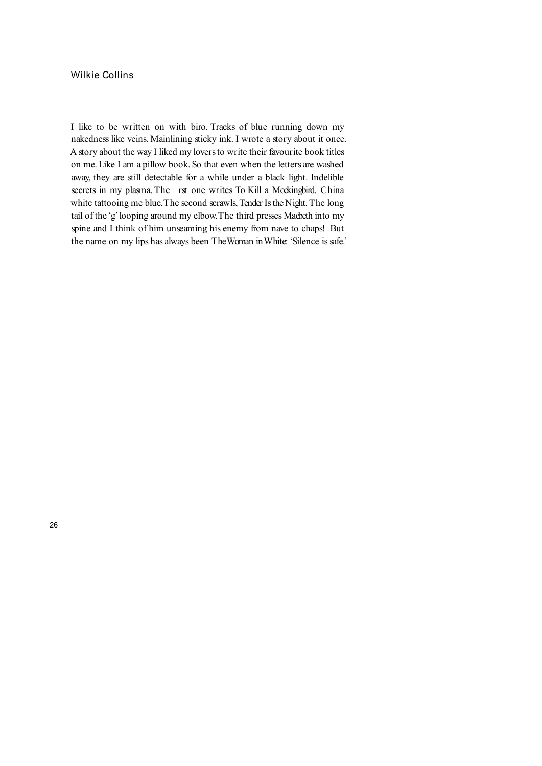# Wilkie Collins

I like to be written on with biro. Tracks of blue running down my nakedness like veins. Mainlining sticky ink. I wrote a story about it once. A story about the way I liked my lovers to write their favourite book titles on me. Like I am a pillow book. So that even when the letters are washed away, they are still detectable for a while under a black light. Indelible secrets in my plasma. The rst one writes To Kill a Mockingbird. China white tattooing me blue. The second scrawls, Tender Is the Night. The long tail of the 'g' looping around my elbow. The third presses Madeth into my spine and I think of him unseaming his enemy from nave to chaps! But the name on my lips has always been The Woman in White: 'Silence is safe.'  $\mathbf{I}$ 

 $\overline{1}$ 

 $\mathbb{I}$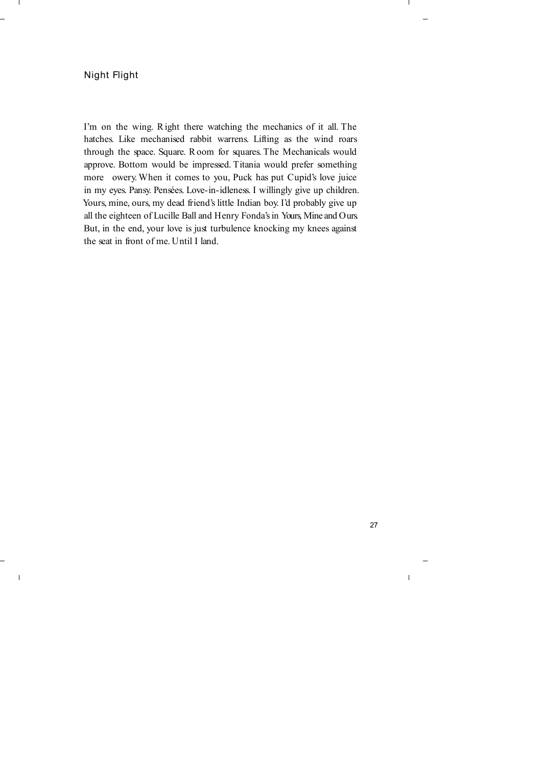# Night Flight

 $\mathbf{I}$ 

 $\mathbb{I}$ 

I'm on the wing. R ight there watching the mechanics of it all. The hatches. Like mechanised rabbit warrens. Lifting as the wind roars through the space. Square. R oom for squares. The Mechanicals would approve. Bottom would be impressed. Titania would prefer something more owery. When it comes to you, Puck has put Cupid's love juice in my eyes. Pansy. Pensées. Love-in-idleness. I willingly give up children. Yours, mine, ours, my dead friend's little Indian boy. I'd probably give up all the eighteen of Lucille Ball and Henry Fonda's in Yours, Mine and Ours. But, in the end, your love is just turbulence knocking my knees against the seat in front of me. Until I land.



 $\overline{1}$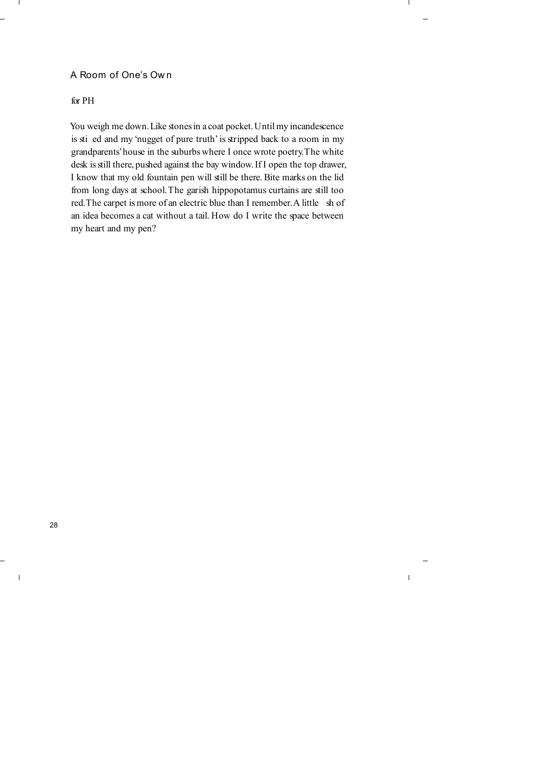# A Room of One's Ow n

#### for PH

 $\mathbf{I}$ 

You weigh me down. Like stones in a coat pocket. Until my incandescence is stied and my 'nugget of pure truth' is stripped back to a room in my grandparents' house in the suburbs where I once wrote poetry. The white desk is still there, pushed against the bay window. If I open the top drawer, I know that my old fountain pen will still be there. Bite marks on the lid from long days at school. The garish hippopotamus curtains are still too red. The carpet is more of an electric blue than I remember. A little sh of an idea becomes a cat without a tail. How do I write the space between my heart and my pen?

 $\mathbf{I}$ 

 $\bar{1}$ 

 $\mathbb{I}$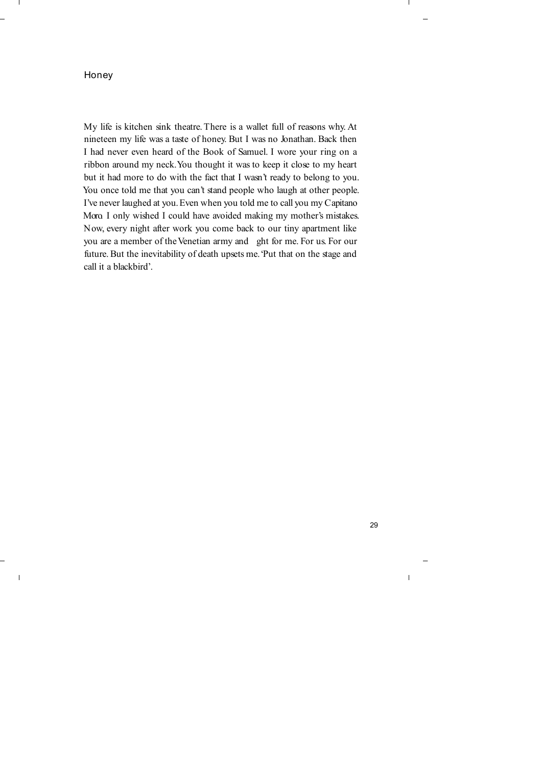# Honey

 $\mathbf{I}$ 

 $\mathbb{I}$ 

My life is kitchen sink theatre. There is a wallet full of reasons why. At nineteen my life was a taste of honey. But I was no Jonathan. Back then I had never even heard of the Book of Samuel. I wore your ring on a ribbon around my neck. You thought it was to keep it close to my heart but it had more to do with the fact that I wasn't ready to belong to you. You once told me that you can't stand people who laugh at other people. I've never laughed at you. Even when you told me to call you my Capitano Moro. I only wished I could have avoided making my mother's mistakes. Now, every night after work you come back to our tiny apartment like you are a member of the Venetian army and ght for me. For us. For our future. But the inevitability of death upsets me. 'Put that on the stage and call it a blackbird'.

29

 $\overline{1}$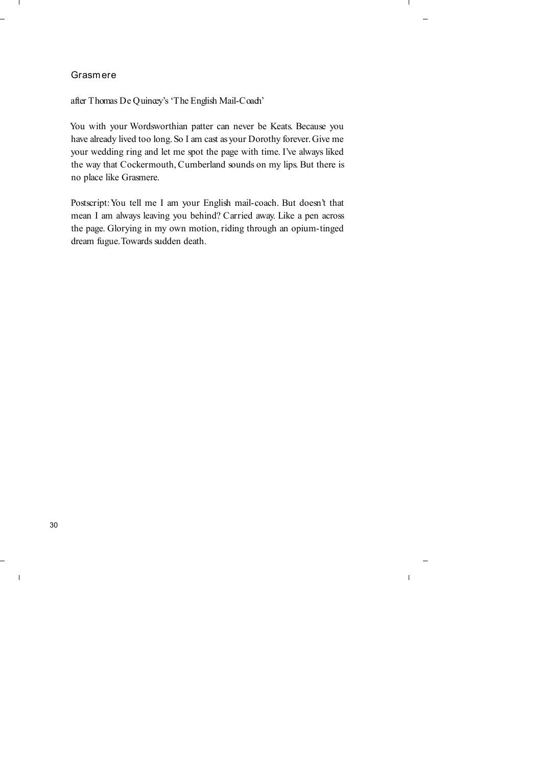# Grasmere

after Thomas De Quincey's 'The English Mail-Coach'

You with your Wordsworthian patter can never be Keats. Because you have already lived too long. So I am cast as your Dorothy forever. Give me your wedding ring and let me spot the page with time. I've always liked the way that Cockermouth, Cumberland sounds on my lips. But there is no place like Grasmere.

 $\mathbf{I}$ 

 $\overline{1}$ 

Postscript: You tell me I am your English mail-coach. But doesn't that mean I am always leaving you behind? Carried away. Like a pen across the page. Glorying in my own motion, riding through an opium-tinged dream fugue. Towards sudden death.

 $\mathbb{I}$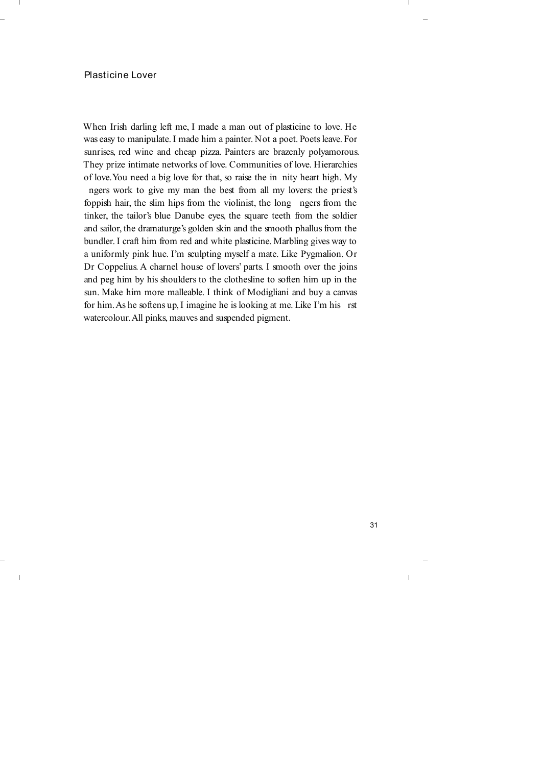#### Plasticine Lover

 $\mathbf{I}$ 

When Irish darling left me, I made a man out of plasticine to love. He was easy to manipulate. I made him a painter. Not a poet. Poets leave. For sunrises, red wine and cheap pizza. Painters are brazenly polyamorous. They prize intimate networks of love. Communities of love. Hierarchies of love. You need a big love for that, so raise the in nity heart high. My ngers work to give my man the best from all my lovers: the priest's foppish hair, the slim hips from the violinist, the long ngers from the tinker, the tailor's blue Danube eyes, the square teeth from the soldier and sailor, the dramaturge's golden skin and the smooth phallus from the bundler. I craft him from red and white plasticine. Marbling gives way to a uniformly pink hue. I'm sculpting myself a mate. Like Pygmalion. Or Dr Coppelius. A charnel house of lovers' parts. I smooth over the joins and peg him by his shoulders to the clothesline to soften him up in the sun. Make him more malleable. I think of Modigliani and buy a canvas for him. As he softens up, I imagine he is looking at me. Like I'm his rst watercolour. All pinks, mauves and suspended pigment.



 $\overline{1}$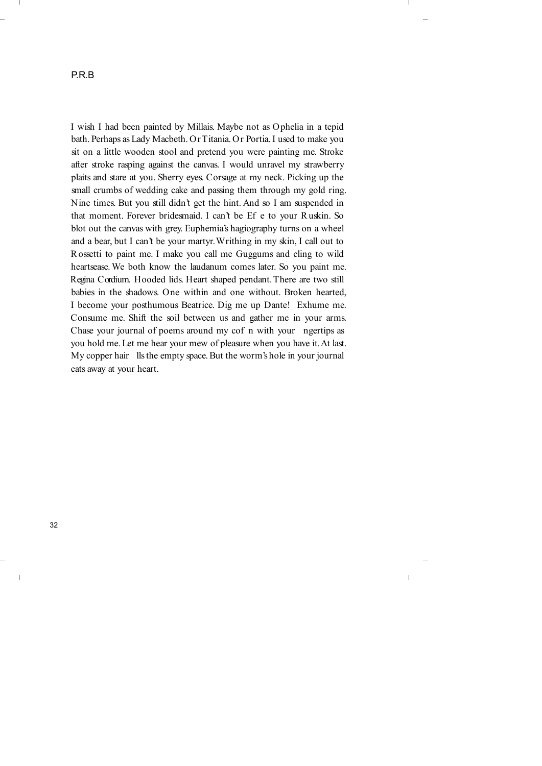#### P.R.B

I wish I had been painted by Millais. Maybe not as Ophelia in a tepid bath. Perhaps as Lady Macbeth. Or Titania. Or Portia. I used to make you sit on a little wooden stool and pretend you were painting me. Stroke after stroke rasping against the canvas. I would unravel my strawberry plaits and stare at you. Sherry eyes. Corsage at my neck. Picking up the small crumbs of wedding cake and passing them through my gold ring. Nine times. But you still didn't get the hint. And so I am suspended in that moment. Forever bridesmaid. I can't be Ef e to your Ruskin. So blot out the canvas with grey. Euphemia's hagiography turns on a wheel and a bear, but I can't be your martyr. Writhing in my skin, I call out to R ossetti to paint me. I make you call me Guggums and cling to wild heartsease. We both know the laudanum comes later. So you paint me. Regina Cordium. Hooded lids. Heart shaped pendant. There are two still babies in the shadows. One within and one without. Broken hearted, I become your posthumous Beatrice. Dig me up Dante! Exhume me. Consume me. Shift the soil between us and gather me in your arms. Chase your journal of poems around my cof n with your ngertips as you hold me. Let me hear your mew of pleasure when you have it. At last. My copper hair lls the empty space. But the worm's hole in your journal eats away at your heart.

 $\overline{1}$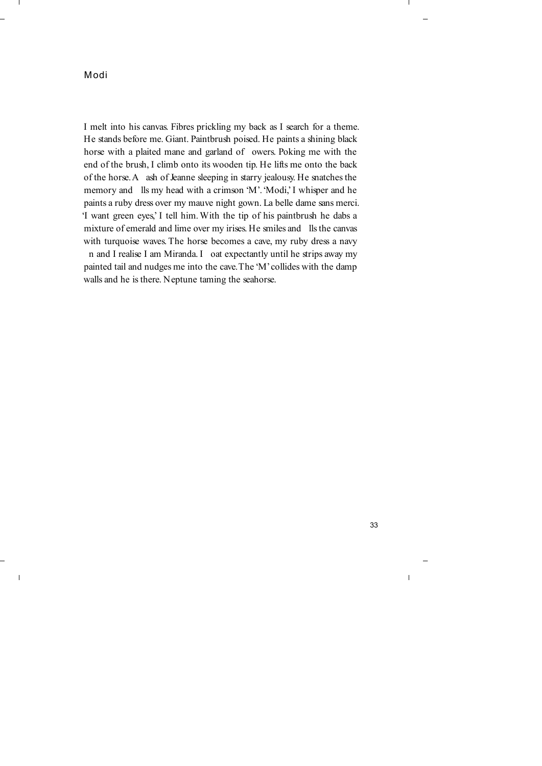#### Modi

 $\mathbb{I}$ 

I melt into his canvas. Fibres prickling my back as I search for a theme. He stands before me. Giant. Paintbrush poised. He paints a shining black horse with a plaited mane and garland of owers. Poking me with the end of the brush, I climb onto its wooden tip. He lifts me onto the back of the horse. A ash of Jeanne sleeping in starry jealousy. He snatches the memory and lls my head with a crimson 'M'. 'Modi,' I whisper and he paints a ruby dress over my mauve night gown. La belle dame sans merci. 'I want green eyes,' I tell him. With the tip of his paintbrush he dabs a mixture of emerald and lime over my irises. He smiles and lls the canvas with turquoise waves. The horse becomes a cave, my ruby dress a navy n and I realise I am Miranda. I oat expectantly until he strips away my painted tail and nudges me into the cave. The 'M' collides with the damp walls and he is there. Neptune taming the seahorse.

33

 $\overline{1}$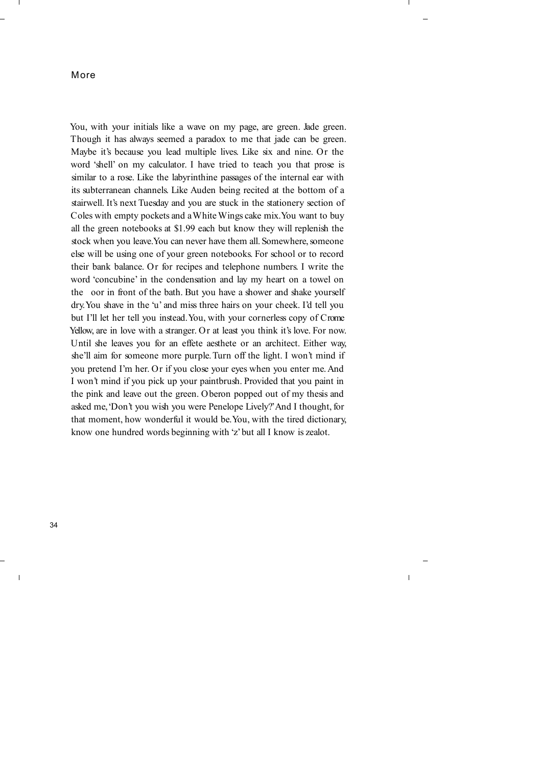#### More

You, with your initials like a wave on my page, are green. Jade green. Though it has always seemed a paradox to me that jade can be green. Maybe it's because you lead multiple lives. Like six and nine. Or the word 'shell' on my calculator. I have tried to teach you that prose is similar to a rose. Like the labyrinthine passages of the internal ear with its subterranean channels. Like Auden being recited at the bottom of a stairwell. It's next Tuesday and you are stuck in the stationery section of Coles with empty pockets and a White Wings cake mix. You want to buy all the green notebooks at \$1.99 each but know they will replenish the stock when you leave. You can never have them all. Somewhere, someone else will be using one of your green notebooks. For school or to record their bank balance. Or for recipes and telephone numbers. I write the word 'concubine' in the condensation and lay my heart on a towel on the oor in front of the bath. But you have a shower and shake yourself dry. You shave in the 'u' and miss three hairs on your cheek. I'd tell you but I'll let her tell you instead. You, with your cornerless copy of Crome Yellow, are in love with a stranger. Or at least you think it's love. For now. Until she leaves you for an effete aesthete or an architect. Either way, she'll aim for someone more purple. Turn off the light. I won't mind if you pretend I'm her. Or if you close your eyes when you enter me. And I won't mind if you pick up your paintbrush. Provided that you paint in the pink and leave out the green. Oberon popped out of my thesis and asked me, 'Don't you wish you were Penelope Lively?' And I thought, for that moment, how wonderful it would be. You, with the tired dictionary, know one hundred words beginning with 'z' but all I know is zealot.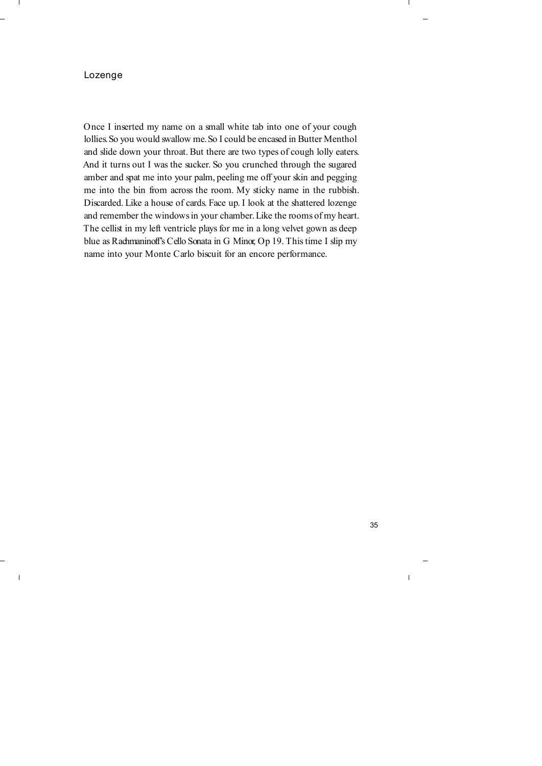# Lozenge

 $\mathbb{I}$ 

Once I inserted my name on a small white tab into one of your cough lollies. So you would swallow me. So I could be encased in Butter Menthol and slide down your throat. But there are two types of cough lolly eaters. And it turns out I was the sucker. So you crunched through the sugared amber and spat me into your palm, peeling me off your skin and pegging me into the bin from across the room. My sticky name in the rubbish. Discarded. Like a house of cards. Face up. I look at the shattered lozenge and remember the windows in your chamber. Like the rooms of my heart. The cellist in my left ventricle plays for me in a long velvet gown as deep blue as Rachmaninoff's Cello Sonata in G Minor, Op 19. This time I slip my name into your Monte Carlo biscuit for an encore performance.



 $\overline{1}$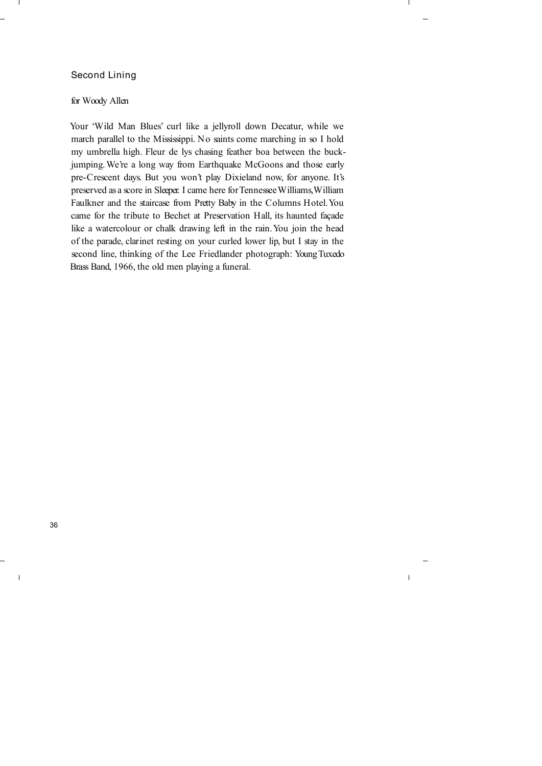### Second Lining

#### for Woody Allen

Your 'Wild Man Blues' curl like a jellyroll down Decatur, while we march parallel to the Mississippi. No saints come marching in so I hold my umbrella high. Fleur de lys chasing feather boa between the buckjumping. We're a long way from Earthquake McGoons and those early pre-Crescent days. But you won't play Dixieland now, for anyone. It's preserved as a score in Sleeper. I came here for Tennessee Williams, William Faulkner and the staircase from Pretty Baby in the Columns Hotel. You came for the tribute to Bechet at Preservation Hall, its haunted façade like a watercolour or chalk drawing left in the rain. You join the head of the parade, clarinet resting on your curled lower lip, but I stay in the second line, thinking of the Lee Friedlander photograph: Young Tuxedo Brass Band, 1966, the old men playing a funeral.

-1

 $\overline{1}$ 

 $\mathbb{I}$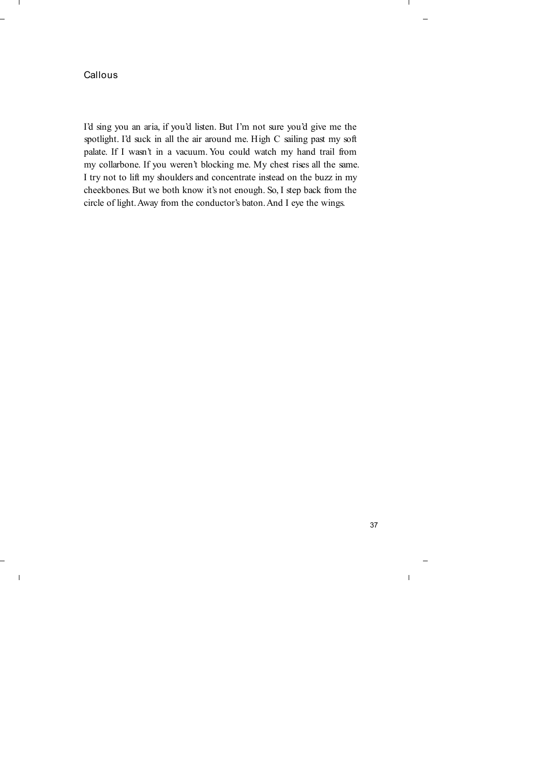## Callous

 $\mathbf{I}$ 

 $\mathbb T$ 

I'd sing you an aria, if you'd listen. But I'm not sure you'd give me the spotlight. I'd suck in all the air around me. High C sailing past my soft palate. If I wasn't in a vacuum. You could watch my hand trail from my collarbone. If you weren't blocking me. My chest rises all the same. I try not to lift my shoulders and concentrate instead on the buzz in my cheekbones. But we both know it's not enough. So, I step back from the circle of light. Away from the conductor's baton. And I eye the wings.

37

 $\overline{1}$ 

 $\mathbf{I}$ 

 $\overline{\phantom{a}}$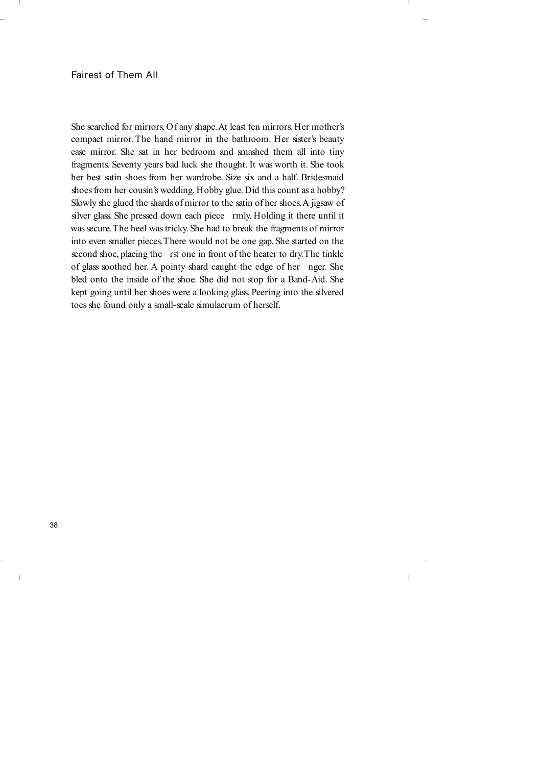### Fairest of Them All

She searched for mirrors. Of any shape. At least ten mirrors. Her mother's compact mirror. The hand mirror in the bathroom. Her sister's beauty case mirror. She sat in her bedroom and smashed them all into tiny fragments. Seventy years bad luck she thought. It was worth it. She took her best satin shoes from her wardrobe. Size six and a half. Bridesmaid shoes from her cousin's wedding. Hobby glue. Did this count as a hobby? Slowly she glued the shards of mirror to the satin of her shoes. A jigsaw of silver glass. She pressed down each piece rmly. Holding it there until it was secure. The heel was tricky. She had to break the fragments of mirror into even smaller pieces. There would not be one gap. She started on the second shoe, placing the rst one in front of the heater to dry. The tinkle of glass soothed her. A pointy shard caught the edge of her nger. She bled onto the inside of the shoe. She did not stop for a Band-Aid. She kept going until her shoes were a looking glass. Peering into the silvered toes she found only a small-scale simulacrum of herself.

 $\overline{1}$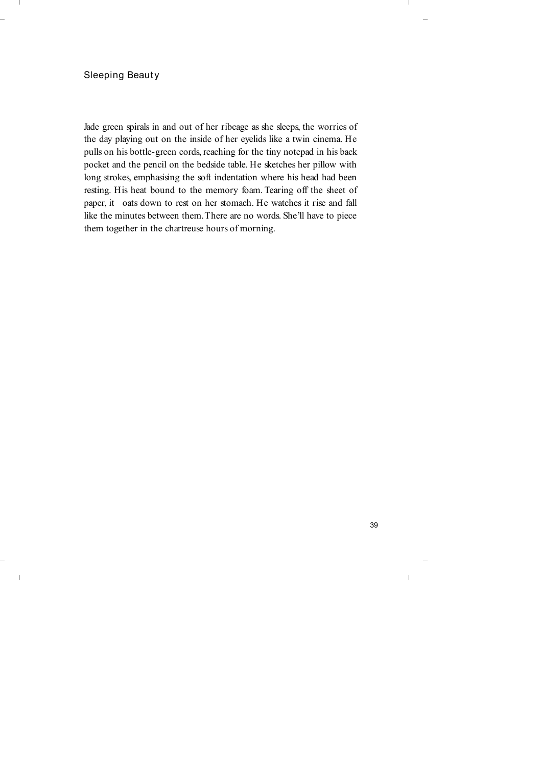### Sleeping Beauty

 $\mathbf{I}$ 

 $\mathbb T$ 

Jade green spirals in and out of her ribcage as she sleeps, the worries of the day playing out on the inside of her eyelids like a twin cinema. He pulls on his bottle-green cords, reaching for the tiny notepad in his back pocket and the pencil on the bedside table. He sketches her pillow with long strokes, emphasising the soft indentation where his head had been resting. His heat bound to the memory foam. Tearing off the sheet of paper, it oats down to rest on her stomach. He watches it rise and fall like the minutes between them. There are no words. She'll have to piece them together in the chartreuse hours of morning.



 $\overline{1}$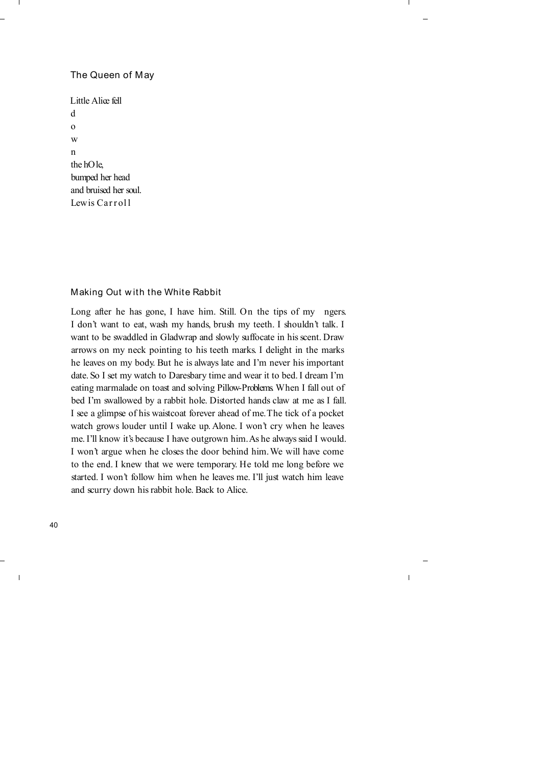## The Queen of May

Little Alice fell d o w n the hOle, bumped her head and bruised her soul. Lewis Carroll

#### Making Out w ith the White Rabbit

Long after he has gone, I have him. Still. On the tips of my ngers. I don't want to eat, wash my hands, brush my teeth. I shouldn't talk. I want to be swaddled in Gladwrap and slowly suffocate in his scent. Draw arrows on my neck pointing to his teeth marks. I delight in the marks he leaves on my body. But he is always late and I'm never his important date. So I set my watch to Daresbary time and wear it to bed. I dream I'm eating marmalade on toast and solving Pillow-Problems. When I fall out of bed I'm swallowed by a rabbit hole. Distorted hands claw at me as I fall. I see a glimpse of his waistcoat forever ahead of me. The tick of a pocket watch grows louder until I wake up. Alone. I won't cry when he leaves me. I'll know it's because I have outgrown him. As he always said I would. I won't argue when he closes the door behind him. We will have come to the end. I knew that we were temporary. He told me long before we started. I won't follow him when he leaves me. I'll just watch him leave and scurry down his rabbit hole. Back to Alice.

 $\overline{1}$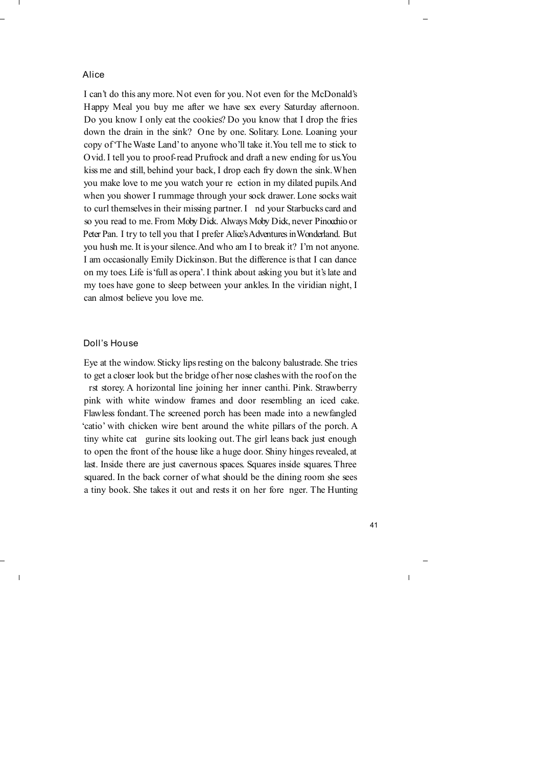### Alice

I can't do this any more. Not even for you. Not even for the McDonald's Happy Meal you buy me after we have sex every Saturday afternoon. Do you know I only eat the cookies? Do you know that I drop the fries down the drain in the sink? One by one. Solitary. Lone. Loaning your copy of 'The Waste Land' to anyone who'll take it. You tell me to stick to Ovid. I tell you to proof-read Prufrock and draft a new ending for us. You kiss me and still, behind your back, I drop each fry down the sink. When you make love to me you watch your reection in my dilated pupils. And when you shower I rummage through your sock drawer. Lone socks wait to curl themselves in their missing partner. I nd your Starbucks card and so you read to me. From Moby Dick. Always Moby Dick, never Pinocchio or Peter Pan. I try to tell you that I prefer Alice's Adventures in Wonderland. But you hush me. It is your silence. And who am I to break it? I'm not anyone. I am occasionally Emily Dickinson. But the difference is that I can dance on my toes. Life is 'full as opera'. I think about asking you but it's late and my toes have gone to sleep between your ankles. In the viridian night, I can almost believe you love me.

#### Doll's House

Eye at the window. Sticky lips resting on the balcony balustrade. She tries to get a closer look but the bridge of her nose clashes with the roof on the rst storey. A horizontal line joining her inner canthi. Pink. Strawberry pink with white window frames and door resembling an iced cake. Flawless fondant. The screened porch has been made into a newfangled 'catio' with chicken wire bent around the white pillars of the porch. A tiny white cat gurine sits looking out. The girl leans back just enough to open the front of the house like a huge door. Shiny hinges revealed, at last. Inside there are just cavernous spaces. Squares inside squares. Three squared. In the back corner of what should be the dining room she sees a tiny book. She takes it out and rests it on her forenger. The Hunting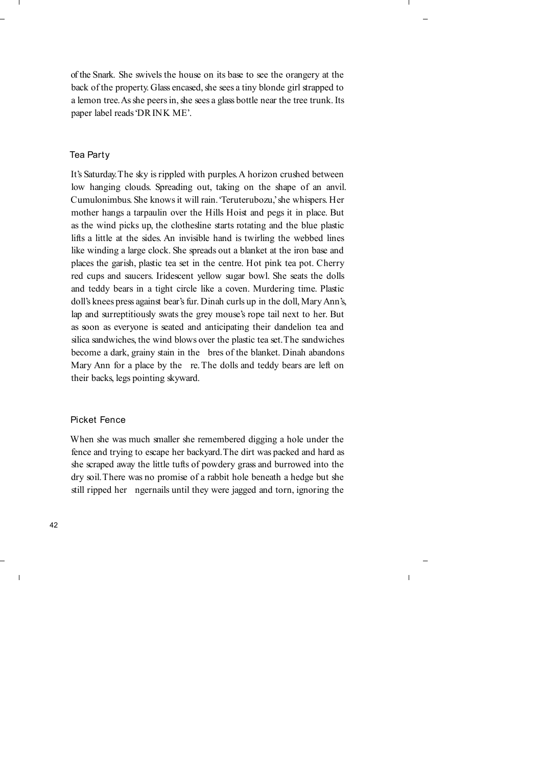of the Snark. She swivels the house on its base to see the orangery at the back of the property. Glass encased, she sees a tiny blonde girl strapped to a lemon tree. As she peers in, she sees a glass bottle near the tree trunk. Its paper label reads 'DR INK ME'.

#### Tea Party

It's Saturday. The sky is rippled with purples. A horizon crushed between low hanging clouds. Spreading out, taking on the shape of an anvil. Cumulonimbus. She knows it will rain. 'Teruterubozu,' she whispers. Her mother hangs a tarpaulin over the Hills Hoist and pegs it in place. But as the wind picks up, the clothesline starts rotating and the blue plastic lifts a little at the sides. An invisible hand is twirling the webbed lines like winding a large clock. She spreads out a blanket at the iron base and places the garish, plastic tea set in the centre. Hot pink tea pot. Cherry red cups and saucers. Iridescent yellow sugar bowl. She seats the dolls and teddy bears in a tight circle like a coven. Murdering time. Plastic doll's knees press against bear's fur. Dinah curls up in the doll, Mary Ann's, lap and surreptitiously swats the grey mouse's rope tail next to her. But as soon as everyone is seated and anticipating their dandelion tea and silica sandwiches, the wind blows over the plastic tea set. The sandwiches become a dark, grainy stain in the bres of the blanket. Dinah abandons Mary Ann for a place by the re. The dolls and teddy bears are left on their backs, legs pointing skyward.

#### Picket Fence

When she was much smaller she remembered digging a hole under the fence and trying to escape her backyard. The dirt was packed and hard as she scraped away the little tufts of powdery grass and burrowed into the dry soil. There was no promise of a rabbit hole beneath a hedge but she still ripped her ngernails until they were jagged and torn, ignoring the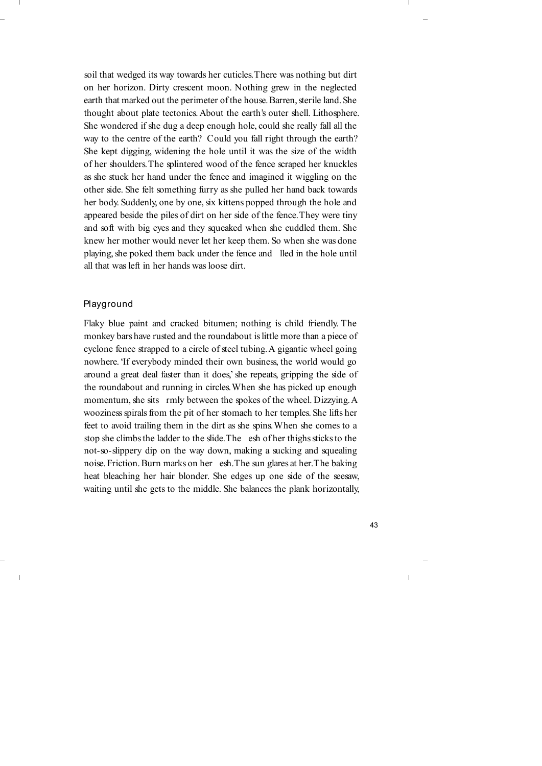soil that wedged its way towards her cuticles. There was nothing but dirt on her horizon. Dirty crescent moon. Nothing grew in the neglected earth that marked out the perimeter of the house. Barren, sterile land. She thought about plate tectonics. About the earth's outer shell. Lithosphere. She wondered if she dug a deep enough hole, could she really fall all the way to the centre of the earth? Could you fall right through the earth? She kept digging, widening the hole until it was the size of the width of her shoulders. The splintered wood of the fence scraped her knuckles as she stuck her hand under the fence and imagined it wiggling on the other side. She felt something furry as she pulled her hand back towards her body. Suddenly, one by one, six kittens popped through the hole and appeared beside the piles of dirt on her side of the fence. They were tiny and soft with big eyes and they squeaked when she cuddled them. She knew her mother would never let her keep them. So when she was done playing, she poked them back under the fence and lled in the hole until all that was left in her hands was loose dirt.

#### Playground

Flaky blue paint and cracked bitumen; nothing is child friendly. The monkey bars have rusted and the roundabout is little more than a piece of cyclone fence strapped to a circle of steel tubing. A gigantic wheel going nowhere. 'If everybody minded their own business, the world would go around a great deal faster than it does,' she repeats, gripping the side of the roundabout and running in circles. When she has picked up enough momentum, she sits rmly between the spokes of the wheel. Dizzying. A wooziness spirals from the pit of her stomach to her temples. She lifts her feet to avoid trailing them in the dirt as she spins. When she comes to a stop she climbs the ladder to the slide. The esh of her thighs sticks to the not-so-slippery dip on the way down, making a sucking and squealing noise. Friction. Burn marks on her esh. The sun glares at her. The baking heat bleaching her hair blonder. She edges up one side of the seesaw, waiting until she gets to the middle. She balances the plank horizontally,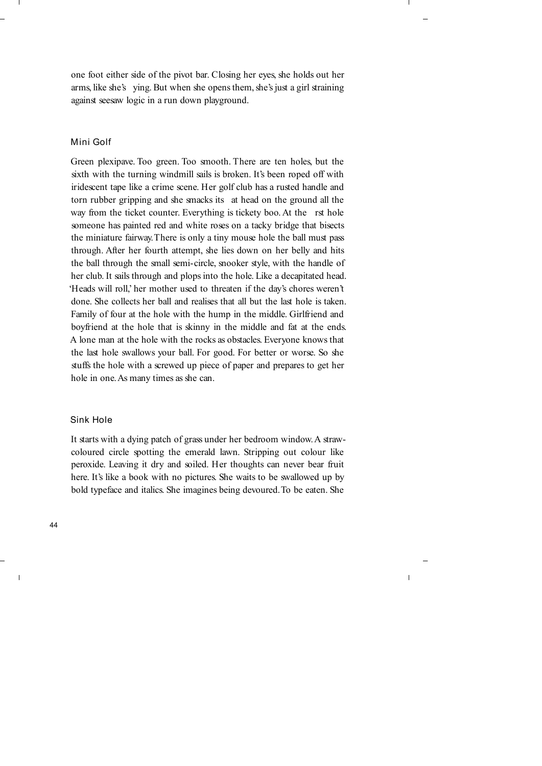one foot either side of the pivot bar. Closing her eyes, she holds out her arms, like she's ying. But when she opens them, she's just a girl straining against seesaw logic in a run down playground.

#### Mini Golf

Green plexipave. Too green. Too smooth. There are ten holes, but the sixth with the turning windmill sails is broken. It's been roped off with iridescent tape like a crime scene. Her golf club has a rusted handle and torn rubber gripping and she smacks its at head on the ground all the way from the ticket counter. Everything is tickety boo. At the rst hole someone has painted red and white roses on a tacky bridge that bisects the miniature fairway. There is only a tiny mouse hole the ball must pass through. After her fourth attempt, she lies down on her belly and hits the ball through the small semi-circle, snooker style, with the handle of her club. It sails through and plops into the hole. Like a decapitated head. 'Heads will roll,' her mother used to threaten if the day's chores weren't done. She collects her ball and realises that all but the last hole is taken. Family of four at the hole with the hump in the middle. Girlfriend and boyfriend at the hole that is skinny in the middle and fat at the ends. A lone man at the hole with the rocks as obstacles. Everyone knows that the last hole swallows your ball. For good. For better or worse. So she stuffs the hole with a screwed up piece of paper and prepares to get her hole in one. As many times as she can.

#### Sink Hole

It starts with a dying patch of grass under her bedroom window. A strawcoloured circle spotting the emerald lawn. Stripping out colour like peroxide. Leaving it dry and soiled. Her thoughts can never bear fruit here. It's like a book with no pictures. She waits to be swallowed up by bold typeface and italics. She imagines being devoured. To be eaten. She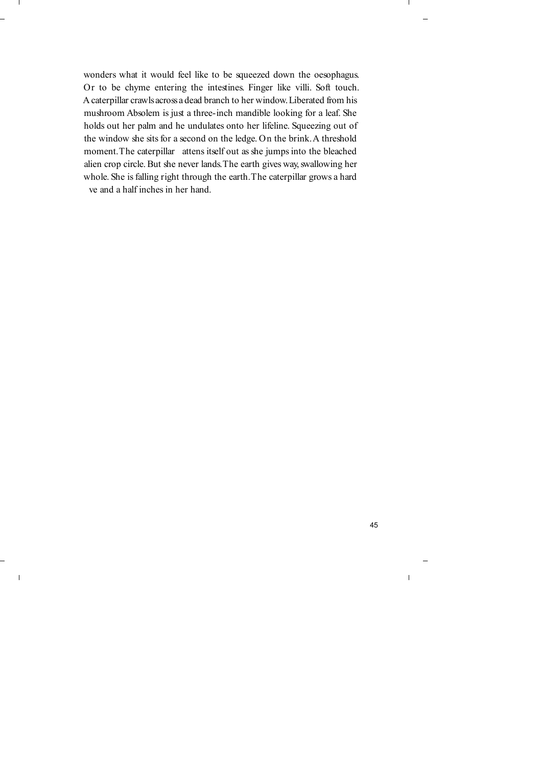wonders what it would feel like to be squeezed down the oesophagus. Or to be chyme entering the intestines. Finger like villi. Soft touch. A caterpillar crawls across a dead branch to her window. Liberated from his mushroom Absolem is just a three-inch mandible looking for a leaf. She holds out her palm and he undulates onto her lifeline. Squeezing out of the window she sits for a second on the ledge. On the brink. A threshold moment. The caterpillar attens itself out as she jumps into the bleached alien crop circle. But she never lands. The earth gives way, swallowing her whole. She is falling right through the earth. The caterpillar grows a hard ve and a half inches in her hand.

 $\mathbf{I}$ 

 $\mathbb{I}$ 

45

 $\bar{1}$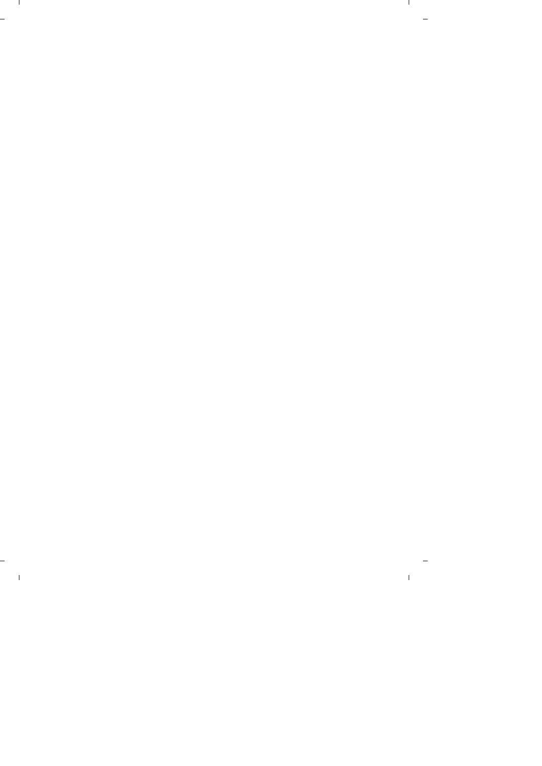$\mathbf{L}$  $\frac{1}{\sqrt{2}}$ 

- 1

 $\begin{array}{c}\n\hline\n\end{array}$ 

 $\overline{a}$ 

 $\frac{1}{\sqrt{2\pi}}\int_{0}^{\sqrt{2\pi}}\frac{1}{\sqrt{2\pi}}\left( \frac{1}{\sqrt{2\pi}}\right) \frac{1}{\sqrt{2\pi}}\int_{0}^{\sqrt{2\pi}}\frac{1}{\sqrt{2\pi}}\left( \frac{1}{\sqrt{2\pi}}\right) \frac{1}{\sqrt{2\pi}}\int_{0}^{\sqrt{2\pi}}\frac{1}{\sqrt{2\pi}}\frac{1}{\sqrt{2\pi}}\frac{1}{\sqrt{2\pi}}\int_{0}^{\sqrt{2\pi}}\frac{1}{\sqrt{2\pi}}\frac{1}{\sqrt{2\pi}}\frac{1}{\sqrt{2\pi}}$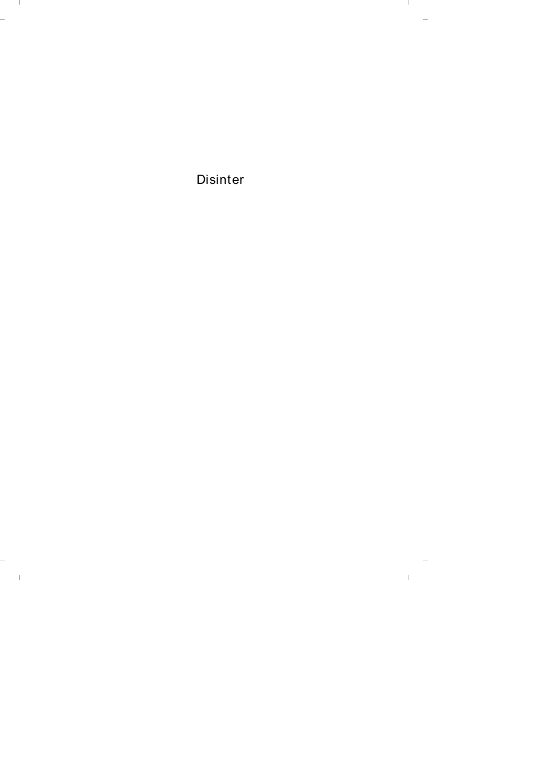Disinter

 $\mathbf{I}$ 

 $\bar{\bar{1}}$ 

 $\frac{1}{2}$ 

 $\sim$  1.

 $\begin{array}{c} \begin{array}{c} \begin{array}{c} \end{array} \\ \begin{array}{c} \end{array} \\ \begin{array}{c} \end{array} \end{array}$ 

 $\overline{a}$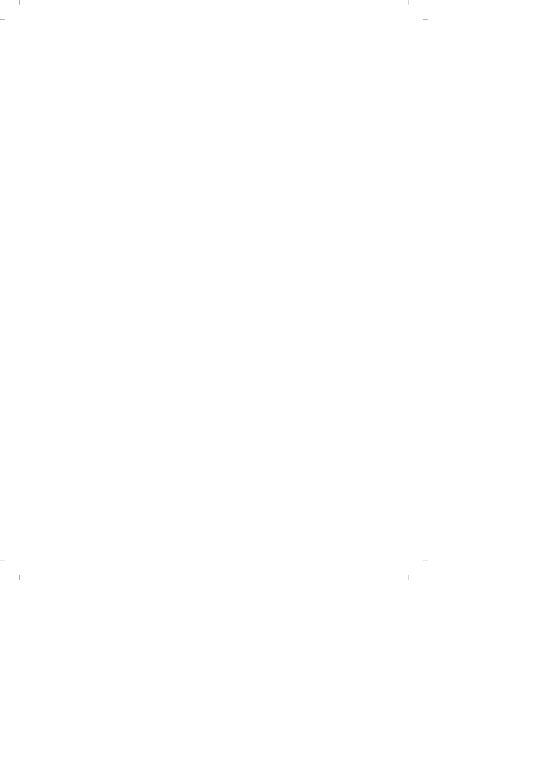$\mathbf{L}$  $\frac{1}{\sqrt{2}}$ 

- 1

 $\begin{array}{c}\n\hline\n\end{array}$ 

 $\overline{a}$ 

 $\frac{1}{\sqrt{2\pi}}\int_{0}^{\sqrt{2\pi}}\frac{1}{\sqrt{2\pi}}\left( \frac{1}{\sqrt{2\pi}}\right) \frac{1}{\sqrt{2\pi}}\int_{0}^{\sqrt{2\pi}}\frac{1}{\sqrt{2\pi}}\left( \frac{1}{\sqrt{2\pi}}\right) \frac{1}{\sqrt{2\pi}}\int_{0}^{\sqrt{2\pi}}\frac{1}{\sqrt{2\pi}}\frac{1}{\sqrt{2\pi}}\frac{1}{\sqrt{2\pi}}\int_{0}^{\sqrt{2\pi}}\frac{1}{\sqrt{2\pi}}\frac{1}{\sqrt{2\pi}}\frac{1}{\sqrt{2\pi}}$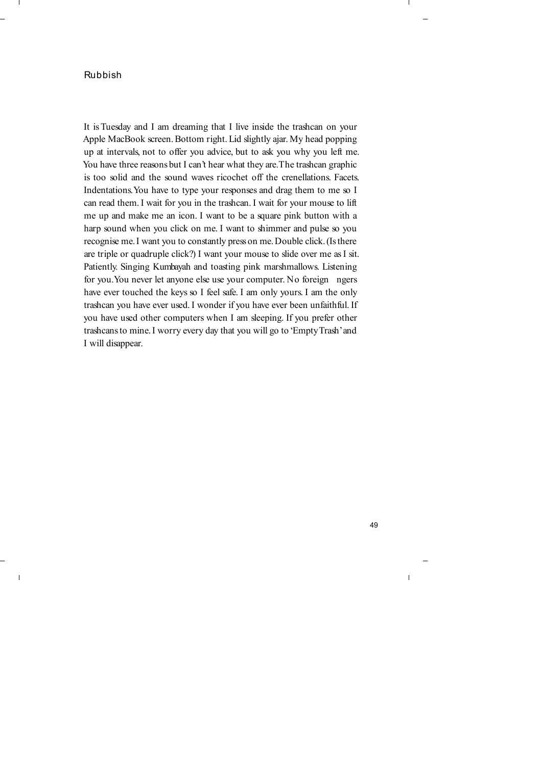### Rubbish

 $\mathbf{I}$ 

It is Tuesday and I am dreaming that I live inside the trashcan on your Apple MacBook screen. Bottom right. Lid slightly ajar. My head popping up at intervals, not to offer you advice, but to ask you why you left me. You have three reasons but I can't hear what they are. The trashcan graphic is too solid and the sound waves ricochet off the crenellations. Facets. Indentations. You have to type your responses and drag them to me so I can read them. I wait for you in the trashcan. I wait for your mouse to lift me up and make me an icon. I want to be a square pink button with a harp sound when you click on me. I want to shimmer and pulse so you recognise me. I want you to constantly press on me. Double click. (Is there are triple or quadruple click?) I want your mouse to slide over me as I sit. Patiently. Singing Kumbayah and toasting pink marshmallows. Listening for you. You never let anyone else use your computer. No foreign ngers have ever touched the keys so I feel safe. I am only yours. I am the only trashcan you have ever used. I wonder if you have ever been unfaithful. If you have used other computers when I am sleeping. If you prefer other trashcans to mine. I worry every day that you will go to 'Empty Trash' and I will disappear.

49

 $\overline{1}$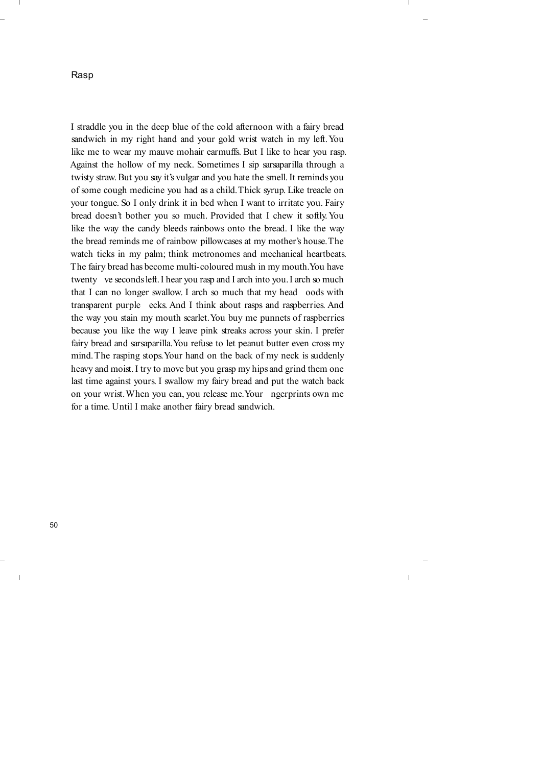#### Rasp

I straddle you in the deep blue of the cold afternoon with a fairy bread sandwich in my right hand and your gold wrist watch in my left. You like me to wear my mauve mohair earmuffs. But I like to hear you rasp. Against the hollow of my neck. Sometimes I sip sarsaparilla through a twisty straw. But you say it's vulgar and you hate the smell. It reminds you of some cough medicine you had as a child. Thick syrup. Like treacle on your tongue. So I only drink it in bed when I want to irritate you. Fairy bread doesn't bother you so much. Provided that I chew it softly. You like the way the candy bleeds rainbows onto the bread. I like the way the bread reminds me of rainbow pillowcases at my mother's house. The watch ticks in my palm; think metronomes and mechanical heartbeats. The fairy bread has become multi-coloured mush in my mouth. You have twenty ve seconds left. I hear you rasp and I arch into you. I arch so much that I can no longer swallow. I arch so much that my head oods with transparent purple ecks. And I think about rasps and raspberries. And the way you stain my mouth scarlet. You buy me punnets of raspberries because you like the way I leave pink streaks across your skin. I prefer fairy bread and sarsaparilla. You refuse to let peanut butter even cross my mind. The rasping stops. Your hand on the back of my neck is suddenly heavy and moist. I try to move but you grasp my hips and grind them one last time against yours. I swallow my fairy bread and put the watch back on your wrist. When you can, you release me. Your ngerprints own me for a time. Until I make another fairy bread sandwich.

 $\overline{1}$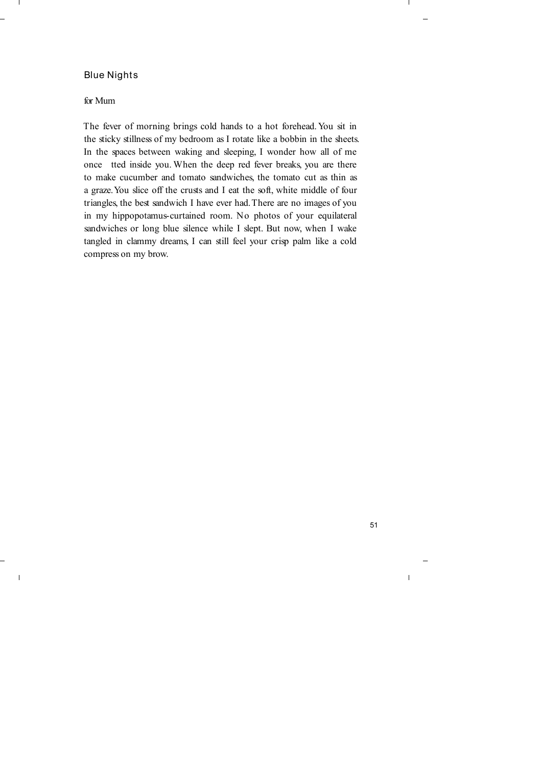## Blue Nights

### for Mum

 $\mathbf{I}$ 

 $\mathbb{I}$ 

The fever of morning brings cold hands to a hot forehead. You sit in the sticky stillness of my bedroom as I rotate like a bobbin in the sheets. In the spaces between waking and sleeping, I wonder how all of me once tted inside you. When the deep red fever breaks, you are there to make cucumber and tomato sandwiches, the tomato cut as thin as a graze. You slice off the crusts and I eat the soft, white middle of four triangles, the best sandwich I have ever had. There are no images of you in my hippopotamus-curtained room. No photos of your equilateral sandwiches or long blue silence while I slept. But now, when I wake tangled in clammy dreams, I can still feel your crisp palm like a cold compress on my brow.



 $\overline{1}$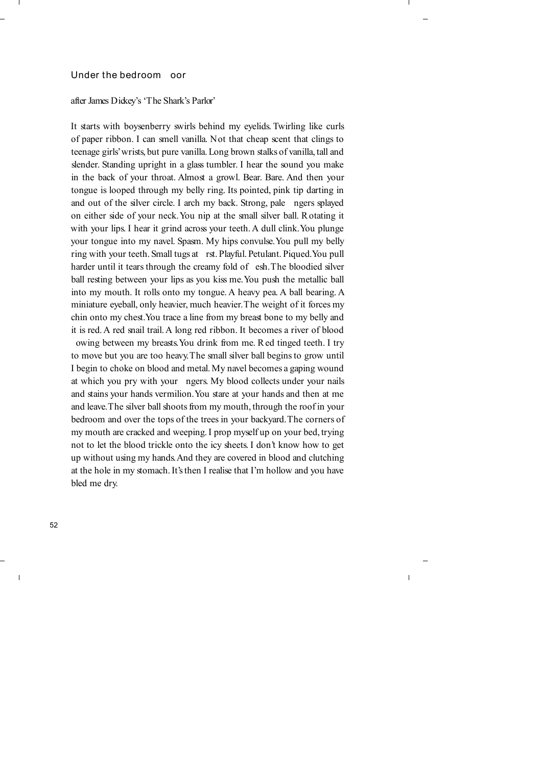### Under the bedroom oor

#### after James Dickey's 'The Shark's Parlor'

It starts with boysenberry swirls behind my eyelids. Twirling like curls of paper ribbon. I can smell vanilla. Not that cheap scent that clings to teenage girls' wrists, but pure vanilla. Long brown stalks of vanilla, tall and slender. Standing upright in a glass tumbler. I hear the sound you make in the back of your throat. Almost a growl. Bear. Bare. And then your tongue is looped through my belly ring. Its pointed, pink tip darting in and out of the silver circle. I arch my back. Strong, pale ngers splayed on either side of your neck. You nip at the small silver ball. R otating it with your lips. I hear it grind across your teeth. A dull clink. You plunge your tongue into my navel. Spasm. My hips convulse. You pull my belly ring with your teeth. Small tugs at rst. Playful. Petulant. Piqued. You pull harder until it tears through the creamy fold of esh. The bloodied silver ball resting between your lips as you kiss me. You push the metallic ball into my mouth. It rolls onto my tongue. A heavy pea. A ball bearing. A miniature eyeball, only heavier, much heavier. The weight of it forces my chin onto my chest. You trace a line from my breast bone to my belly and it is red. A red snail trail. A long red ribbon. It becomes a river of blood owing between my breasts. You drink from me. R ed tinged teeth. I try to move but you are too heavy. The small silver ball begins to grow until I begin to choke on blood and metal. My navel becomes a gaping wound at which you pry with your ngers. My blood collects under your nails and stains your hands vermilion. You stare at your hands and then at me and leave. The silver ball shoots from my mouth, through the roof in your bedroom and over the tops of the trees in your backyard. The corners of my mouth are cracked and weeping. I prop myself up on your bed, trying not to let the blood trickle onto the icy sheets. I don't know how to get up without using my hands. And they are covered in blood and clutching at the hole in my stomach. It's then I realise that I'm hollow and you have bled me dry.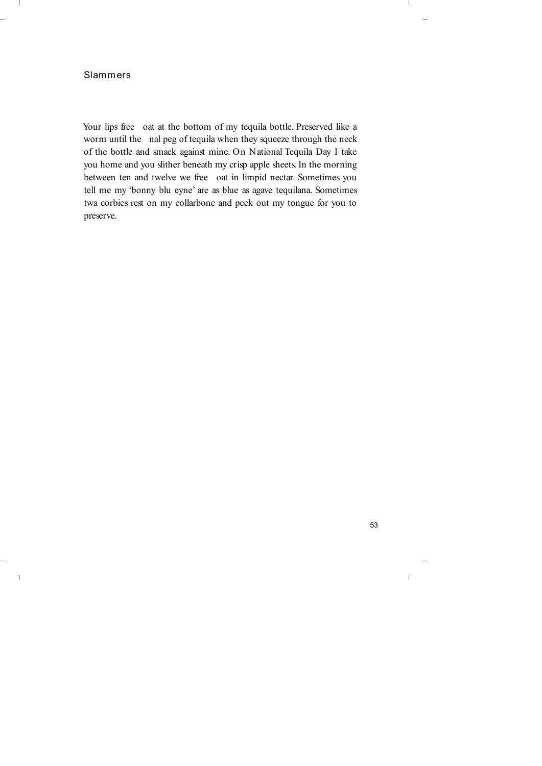## Slammers

- 1

 $\mathbb T$ 

Your lips free oat at the bottom of my tequila bottle. Preserved like a worm until the nal peg of tequila when they squeeze through the neck of the bottle and smack against mine. On National Tequila Day I take you home and you slither beneath my crisp apple sheets. In the morning between ten and twelve we free oat in limpid nectar. Sometimes you tell me my 'bonny blu eyne' are as blue as agave tequilana. Sometimes twa corbies rest on my collarbone and peck out my tongue for you to preserve.

53

 $\bar{1}$ 

 $\mathbf{I}$ 

 $\overline{\phantom{a}}$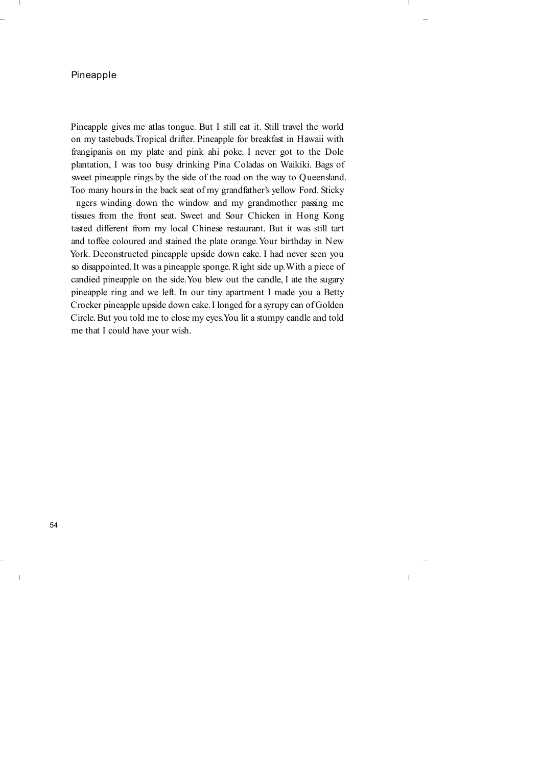### Pineapple

me that I could have your wish.

Pineapple gives me atlas tongue. But I still eat it. Still travel the world on my tastebuds. Tropical drifter. Pineapple for breakfast in Hawaii with frangipanis on my plate and pink ahi poke. I never got to the Dole plantation, I was too busy drinking Pina Coladas on Waikiki. Bags of sweet pineapple rings by the side of the road on the way to Queensland. Too many hours in the back seat of my grandfather's yellow Ford. Sticky ngers winding down the window and my grandmother passing me tissues from the front seat. Sweet and Sour Chicken in Hong Kong tasted different from my local Chinese restaurant. But it was still tart and toffee coloured and stained the plate orange. Your birthday in New York. Deconstructed pineapple upside down cake. I had never seen you so disappointed. It was a pineapple sponge. R ight side up. With a piece of candied pineapple on the side. You blew out the candle, I ate the sugary pineapple ring and we left. In our tiny apartment I made you a Betty Crocker pineapple upside down cake. I longed for a syrupy can of Golden Circle. But you told me to close my eyes. You lit a stumpy candle and told

 $\overline{1}$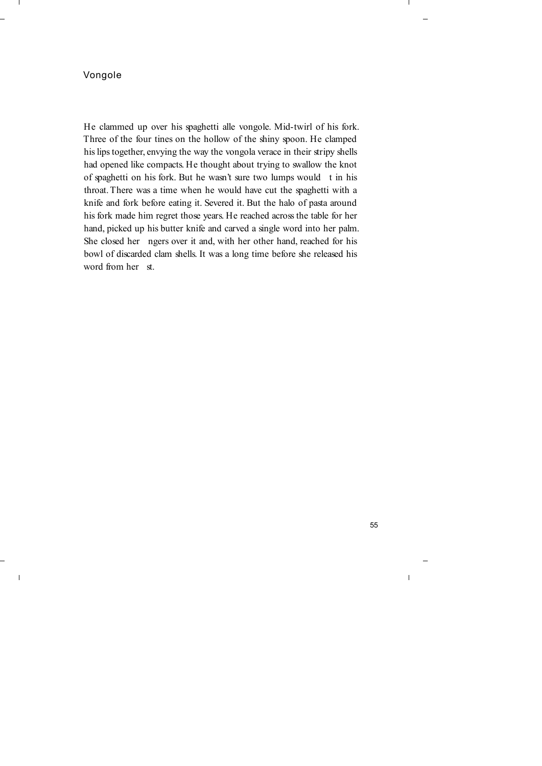## Vongole

 $\mathbf{I}$ 

 $\mathbb{I}$ 

He clammed up over his spaghetti alle vongole. Mid-twirl of his fork. Three of the four tines on the hollow of the shiny spoon. He clamped his lips together, envying the way the vongola verace in their stripy shells had opened like compacts. He thought about trying to swallow the knot of spaghetti on his fork. But he wasn't sure two lumps would t in his throat. There was a time when he would have cut the spaghetti with a knife and fork before eating it. Severed it. But the halo of pasta around his fork made him regret those years. He reached across the table for her hand, picked up his butter knife and carved a single word into her palm. She closed her ngers over it and, with her other hand, reached for his bowl of discarded clam shells. It was a long time before she released his word from her st.



 $\overline{1}$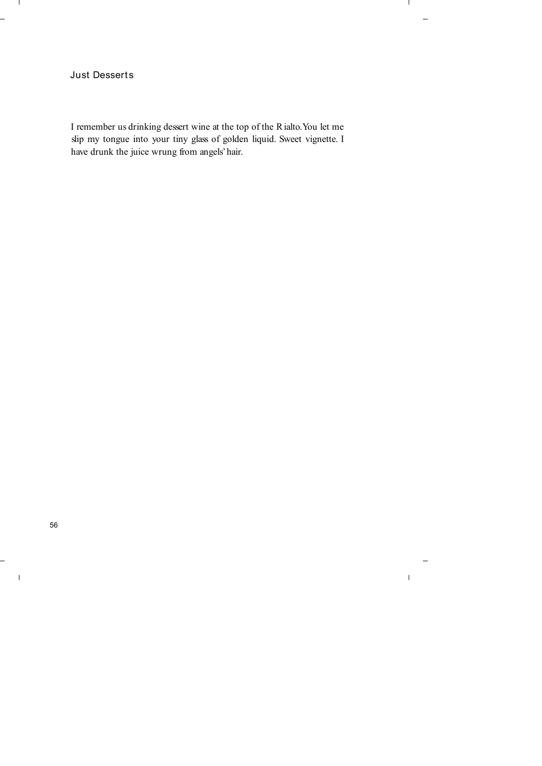## Just Desserts

 $\Box$ 

I remember us drinking dessert wine at the top of the R ialto. You let me slip my tongue into your tiny glass of golden liquid. Sweet vignette. I have drunk the juice wrung from angels' hair.

 $\mathbf{I}$ 

 $\bar{\rm I}$ 

 $\overline{a}$ 

j.

 $\bar{1}$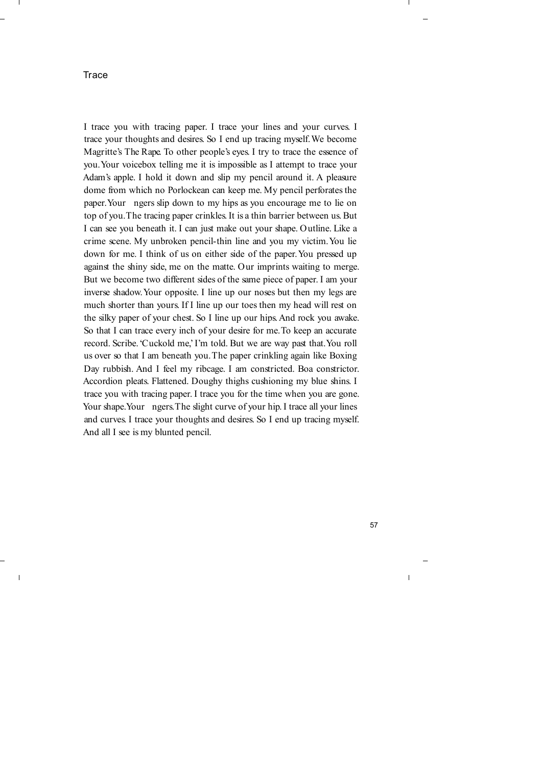#### **Trace**

 $\mathbf{I}$ 

I trace you with tracing paper. I trace your lines and your curves. I trace your thoughts and desires. So I end up tracing myself. We become Magritte's The Rape. To other people's eyes. I try to trace the essence of you. Your voicebox telling me it is impossible as I attempt to trace your Adam's apple. I hold it down and slip my pencil around it. A pleasure dome from which no Porlockean can keep me. My pencil perforates the paper. Your ngers slip down to my hips as you encourage me to lie on top of you. The tracing paper crinkles. It is a thin barrier between us. But I can see you beneath it. I can just make out your shape. Outline. Like a crime scene. My unbroken pencil-thin line and you my victim. You lie down for me. I think of us on either side of the paper. You pressed up against the shiny side, me on the matte. Our imprints waiting to merge. But we become two different sides of the same piece of paper. I am your inverse shadow. Your opposite. I line up our noses but then my legs are much shorter than yours. If I line up our toes then my head will rest on the silky paper of your chest. So I line up our hips. And rock you awake. So that I can trace every inch of your desire for me. To keep an accurate record. Scribe. 'Cuckold me,' I'm told. But we are way past that. You roll us over so that I am beneath you. The paper crinkling again like Boxing Day rubbish. And I feel my ribcage. I am constricted. Boa constrictor. Accordion pleats. Flattened. Doughy thighs cushioning my blue shins. I trace you with tracing paper. I trace you for the time when you are gone. Your shape. Your ngers. The slight curve of your hip. I trace all your lines and curves. I trace your thoughts and desires. So I end up tracing myself. And all I see is my blunted pencil.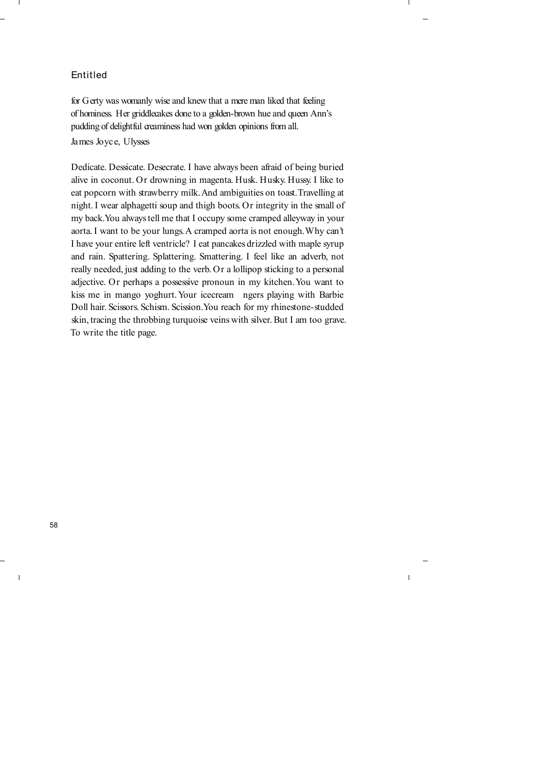## Entitled

for Gerty was womanly wise and knew that a mere man liked that feeling of hominess. Her griddlecakes done to a golden-brown hue and queen Ann's pudding of delightful creaminess had won golden opinions from all. James Joyce, Ulysses

Dedicate. Dessicate. Desecrate. I have always been afraid of being buried alive in coconut. Or drowning in magenta. Husk. Husky. Hussy. I like to eat popcorn with strawberry milk. And ambiguities on toast. Travelling at night. I wear alphagetti soup and thigh boots. Or integrity in the small of my back. You always tell me that I occupy some cramped alleyway in your aorta. I want to be your lungs. A cramped aorta is not enough. Why can't I have your entire left ventricle? I eat pancakes drizzled with maple syrup and rain. Spattering. Splattering. Smattering. I feel like an adverb, not really needed, just adding to the verb. Or a lollipop sticking to a personal adjective. Or perhaps a possessive pronoun in my kitchen. You want to kiss me in mango yoghurt. Your icecream ngers playing with Barbie Doll hair. Scissors. Schism. Scission. You reach for my rhinestone-studded skin, tracing the throbbing turquoise veins with silver. But I am too grave. To write the title page.

 $\overline{1}$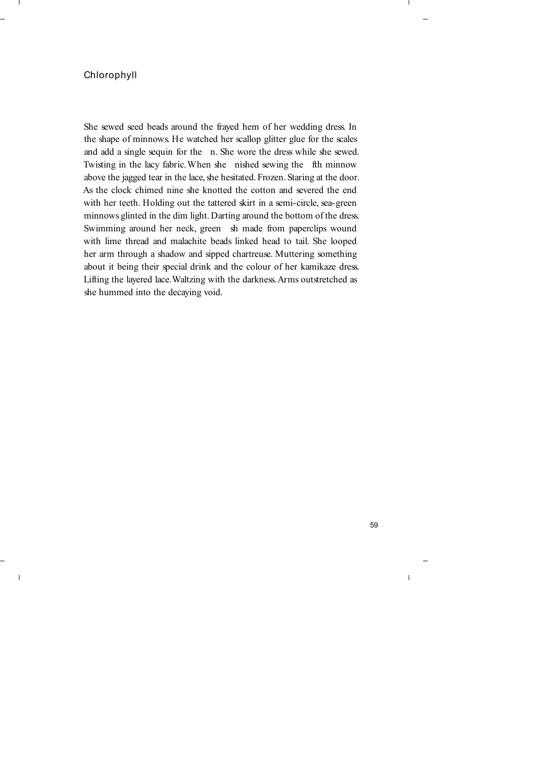### Chlorophyll

 $\overline{1}$ 

She sewed seed beads around the frayed hem of her wedding dress. In the shape of minnows. He watched her scallop glitter glue for the scales and add a single sequin for the n. She wore the dress while she sewed. Twisting in the lacy fabric. When she nished sewing the fth minnow above the jagged tear in the lace, she hesitated. Frozen. Staring at the door. As the clock chimed nine she knotted the cotton and severed the end with her teeth. Holding out the tattered skirt in a semi-circle, sea-green minnows glinted in the dim light. Darting around the bottom of the dress. Swimming around her neck, green sh made from paperclips wound with lime thread and malachite beads linked head to tail. She looped her arm through a shadow and sipped chartreuse. Muttering something about it being their special drink and the colour of her kamikaze dress. Lifting the layered lace. Waltzing with the darkness. Arms outstretched as she hummed into the decaying void.



 $\overline{1}$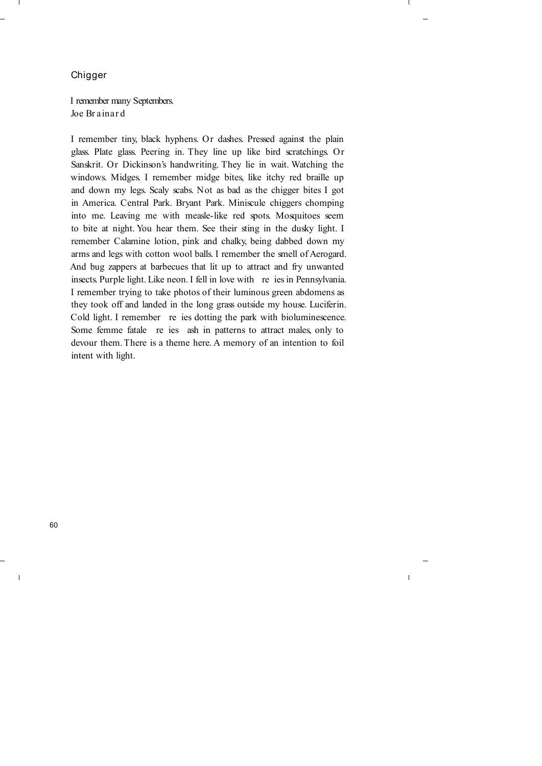## Chigger

I remember many Septembers. Joe Br ainar d

I remember tiny, black hyphens. Or dashes. Pressed against the plain glass. Plate glass. Peering in. They line up like bird scratchings. Or Sanskrit. Or Dickinson's handwriting. They lie in wait. Watching the windows. Midges. I remember midge bites, like itchy red braille up and down my legs. Scaly scabs. Not as bad as the chigger bites I got in America. Central Park. Bryant Park. Miniscule chiggers chomping into me. Leaving me with measle-like red spots. Mosquitoes seem to bite at night. You hear them. See their sting in the dusky light. I remember Calamine lotion, pink and chalky, being dabbed down my arms and legs with cotton wool balls. I remember the smell of Aerogard. And bug zappers at barbecues that lit up to attract and fry unwanted insects. Purple light. Like neon. I fell in love with reies in Pennsylvania. I remember trying to take photos of their luminous green abdomens as they took off and landed in the long grass outside my house. Luciferin. Cold light. I remember re ies dotting the park with bioluminescence. Some femme fatale reies ash in patterns to attract males, only to devour them. There is a theme here. A memory of an intention to foil intent with light.

 $\overline{1}$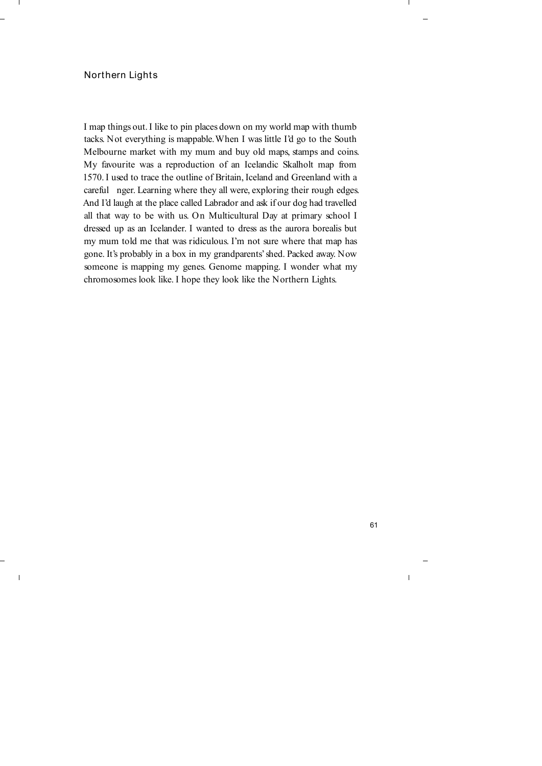## Northern Lights

 $\mathbb{I}$ 

I map things out. I like to pin places down on my world map with thumb tacks. Not everything is mappable. When I was little I'd go to the South Melbourne market with my mum and buy old maps, stamps and coins. My favourite was a reproduction of an Icelandic Skalholt map from 1570. I used to trace the outline of Britain, Iceland and Greenland with a careful nger. Learning where they all were, exploring their rough edges. And I'd laugh at the place called Labrador and ask if our dog had travelled all that way to be with us. On Multicultural Day at primary school I dressed up as an Icelander. I wanted to dress as the aurora borealis but my mum told me that was ridiculous. I'm not sure where that map has gone. It's probably in a box in my grandparents' shed. Packed away. Now someone is mapping my genes. Genome mapping. I wonder what my chromosomes look like. I hope they look like the Northern Lights.



 $\overline{1}$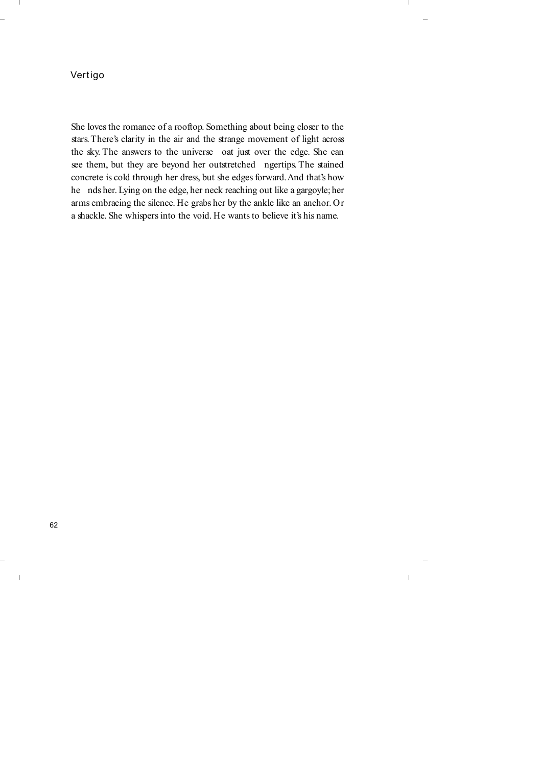## Vertigo

 $\mathbf{I}$ 

She loves the romance of a rooftop. Something about being closer to the stars. There's clarity in the air and the strange movement of light across the sky. The answers to the universe oat just over the edge. She can see them, but they are beyond her outstretched ngertips. The stained concrete is cold through her dress, but she edges forward. And that's how he nds her. Lying on the edge, her neck reaching out like a gargoyle; her arms embracing the silence. He grabs her by the ankle like an anchor. Or a shackle. She whispers into the void. He wants to believe it's his name.

 $\mathbf{I}$ 

 $\bar{1}$ 

 $\mathbb T$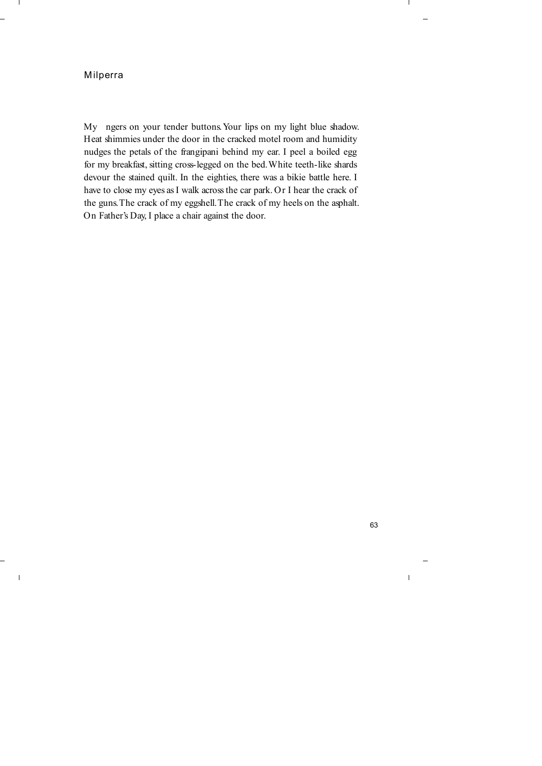## Milperra

 $\mathbf{I}$ 

 $\mathbb T$ 

My ngers on your tender buttons. Your lips on my light blue shadow. Heat shimmies under the door in the cracked motel room and humidity nudges the petals of the frangipani behind my ear. I peel a boiled egg for my breakfast, sitting cross-legged on the bed. White teeth-like shards devour the stained quilt. In the eighties, there was a bikie battle here. I have to close my eyes as I walk across the car park. Or I hear the crack of the guns. The crack of my eggshell. The crack of my heels on the asphalt. On Father's Day, I place a chair against the door.



 $\bar{1}$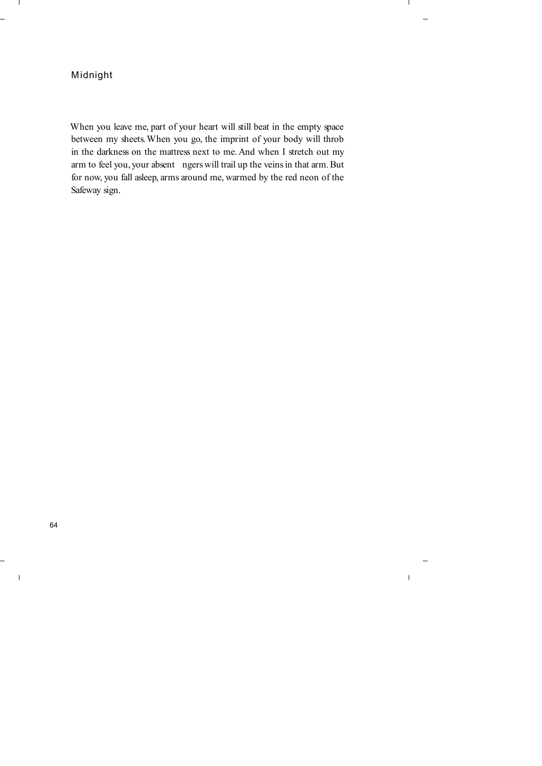# Midnight

 $\mathbf{I}$ 

When you leave me, part of your heart will still beat in the empty space between my sheets. When you go, the imprint of your body will throb in the darkness on the mattress next to me. And when I stretch out my arm to feel you, your absent ngers will trail up the veins in that arm. But for now, you fall asleep, arms around me, warmed by the red neon of the Safeway sign.

Τ.

 $\overline{1}$ 

 $\overline{a}$ 

 $\bar{\mathbb{L}}$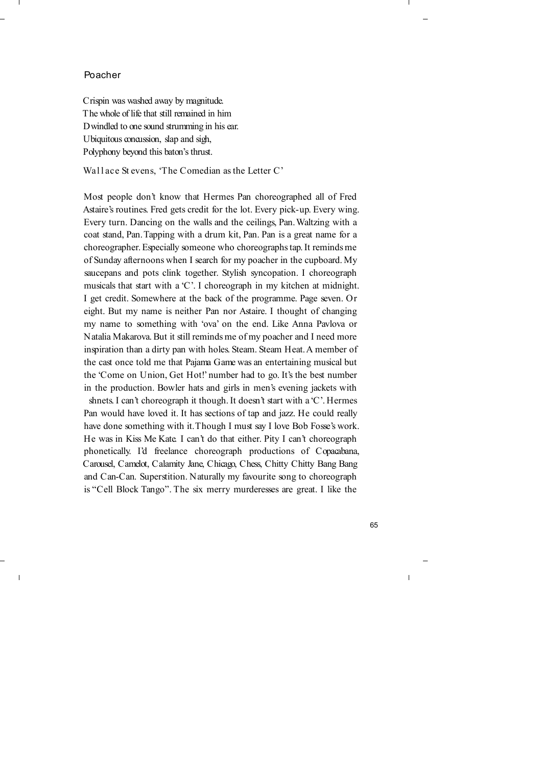### Poacher

Crispin was washed away by magnitude. The whole of life that still remained in him Dwindled to one sound strumming in his ear. Ubiquitous concussion, slap and sigh, Polyphony beyond this baton's thrust.

Wall ace St evens, 'The Comedian as the Letter C'

Most people don't know that Hermes Pan choreographed all of Fred Astaire's routines. Fred gets credit for the lot. Every pick-up. Every wing. Every turn. Dancing on the walls and the ceilings, Pan. Waltzing with a coat stand, Pan. Tapping with a drum kit, Pan. Pan is a great name for a choreographer. Especially someone who choreographs tap. It reminds me of Sunday afternoons when I search for my poacher in the cupboard. My saucepans and pots clink together. Stylish syncopation. I choreograph musicals that start with a 'C'. I choreograph in my kitchen at midnight. I get credit. Somewhere at the back of the programme. Page seven. Or eight. But my name is neither Pan nor Astaire. I thought of changing my name to something with 'ova' on the end. Like Anna Pavlova or Natalia Makarova. But it still reminds me of my poacher and I need more inspiration than a dirty pan with holes. Steam. Steam Heat. A member of the cast once told me that Pajama Game was an entertaining musical but the 'Come on Union, Get Hot!' number had to go. It's the best number in the production. Bowler hats and girls in men's evening jackets with shnets. I can't choreograph it though. It doesn't start with a 'C'. Hermes

Pan would have loved it. It has sections of tap and jazz. He could really have done something with it. Though I must say I love Bob Fosse's work. He was in Kiss Me Kate. I can't do that either. Pity I can't choreograph phonetically. I'd freelance choreograph productions of Copacabana, Carousel, Camelot, Calamity Jane, Chicago, Chess, Chitty Chitty Bang Bang and Can-Can. Superstition. Naturally my favourite song to choreograph is "Cell Block Tango". The six merry murderesses are great. I like the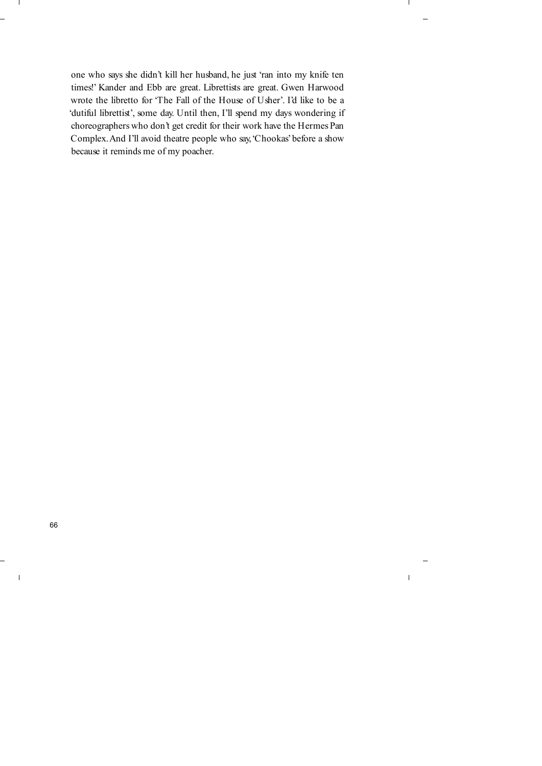one who says she didn't kill her husband, he just 'ran into my knife ten times!' Kander and Ebb are great. Librettists are great. Gwen Harwood wrote the libretto for 'The Fall of the House of Usher'. I'd like to be a 'dutiful librettist', some day. Until then, I'll spend my days wondering if choreographers who don't get credit for their work have the Hermes Pan Complex. And I'll avoid theatre people who say, 'Chookas' before a show because it reminds me of my poacher.

 $\mathbf{I}$ 

 $\bar{1}$ 

 $\mathbb T$ 

- 1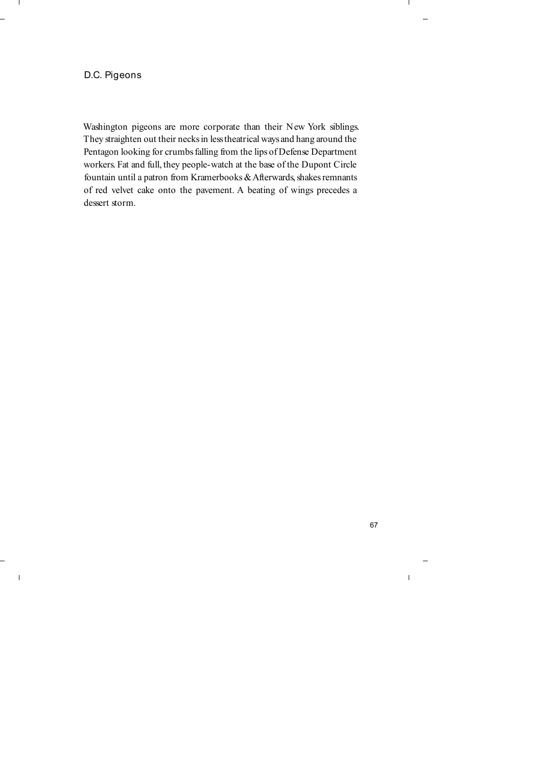## D.C. Pigeons

 $\mathbf{I}$ 

 $\bar{\mathbb{L}}$ 

Washington pigeons are more corporate than their New York siblings. They straighten out their necks in less theatrical ways and hang around the Pentagon looking for crumbs falling from the lips of Defense Department workers. Fat and full, they people-watch at the base of the Dupont Circle fountain until a patron from Kramerbooks & Afterwards, shakes remnants of red velvet cake onto the pavement. A beating of wings precedes a dessert storm.



 $\overline{1}$ 

Τ.

 $\overline{a}$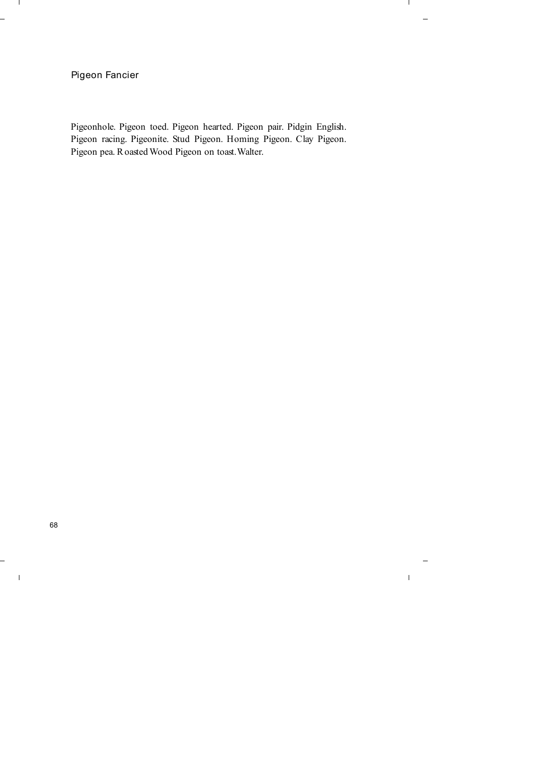# Pigeon Fancier

 $\mathbf{I}$ 

Pigeonhole. Pigeon toed. Pigeon hearted. Pigeon pair. Pidgin English. Pigeon racing. Pigeonite. Stud Pigeon. Homing Pigeon. Clay Pigeon. Pigeon pea. R oasted Wood Pigeon on toast. Walter.

 $\perp$ 

 $\bar{1}$ 

 $\overline{a}$ 

 $\perp$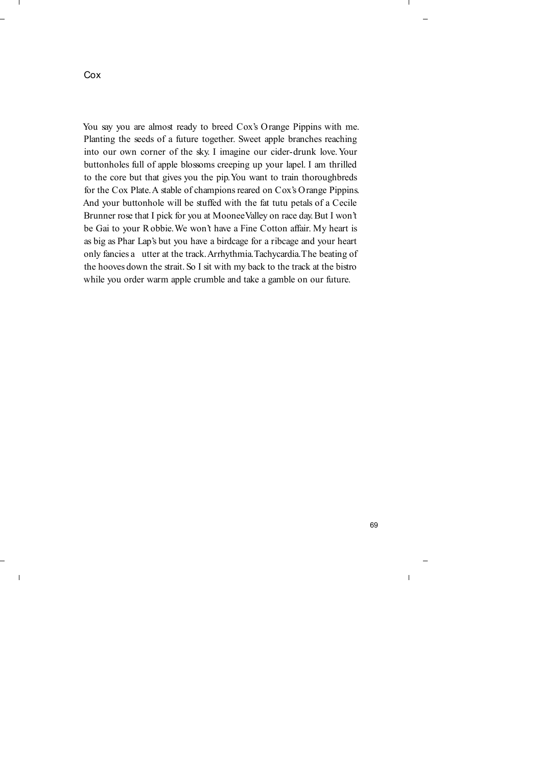You say you are almost ready to breed Cox's Orange Pippins with me. Planting the seeds of a future together. Sweet apple branches reaching into our own corner of the sky. I imagine our cider-drunk love. Your buttonholes full of apple blossoms creeping up your lapel. I am thrilled to the core but that gives you the pip. You want to train thoroughbreds for the Cox Plate. A stable of champions reared on Cox's Orange Pippins. And your buttonhole will be stuffed with the fat tutu petals of a Cecile Brunner rose that I pick for you at Moonee Valley on race day. But I won't be Gai to your R obbie. We won't have a Fine Cotton affair. My heart is as big as Phar Lap's but you have a birdcage for a ribcage and your heart only fancies a utter at the track. Arrhythmia. Tachycardia. The beating of the hooves down the strait. So I sit with my back to the track at the bistro while you order warm apple crumble and take a gamble on our future.

69

 $\overline{1}$ 

-1

**Cox** 

 $\mathbb{I}$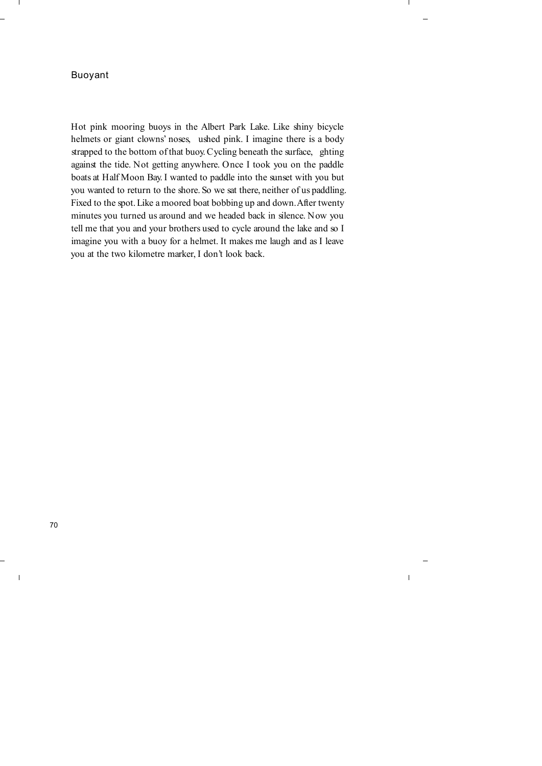## Buoyant

Hot pink mooring buoys in the Albert Park Lake. Like shiny bicycle helmets or giant clowns' noses, ushed pink. I imagine there is a body strapped to the bottom of that buoy. Cycling beneath the surface, ghting against the tide. Not getting anywhere. Once I took you on the paddle boats at Half Moon Bay. I wanted to paddle into the sunset with you but you wanted to return to the shore. So we sat there, neither of us paddling. Fixed to the spot. Like a moored boat bobbing up and down. After twenty minutes you turned us around and we headed back in silence. Now you tell me that you and your brothers used to cycle around the lake and so I imagine you with a buoy for a helmet. It makes me laugh and as I leave you at the two kilometre marker, I don't look back.

 $\mathbf{I}$ 

 $\overline{1}$ 

 $\mathbb{I}$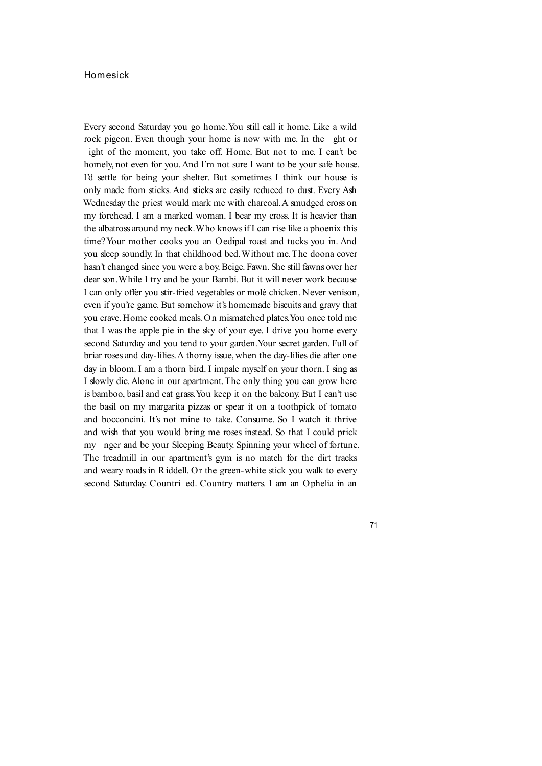#### Homesick

 $\mathbf{I}$ 

Every second Saturday you go home. You still call it home. Like a wild rock pigeon. Even though your home is now with me. In the ght or ight of the moment, you take off. Home. But not to me. I can't be homely, not even for you. And I'm not sure I want to be your safe house. I'd settle for being your shelter. But sometimes I think our house is only made from sticks. And sticks are easily reduced to dust. Every Ash Wednesday the priest would mark me with charcoal. A smudged cross on my forehead. I am a marked woman. I bear my cross. It is heavier than the albatross around my neck. Who knows if I can rise like a phoenix this time? Your mother cooks you an Oedipal roast and tucks you in. And you sleep soundly. In that childhood bed. Without me. The doona cover hasn't changed since you were a boy. Beige. Fawn. She still fawns over her dear son. While I try and be your Bambi. But it will never work because I can only offer you stir-fried vegetables or molé chicken. Never venison, even if you're game. But somehow it's homemade biscuits and gravy that you crave. Home cooked meals. On mismatched plates. You once told me that I was the apple pie in the sky of your eye. I drive you home every second Saturday and you tend to your garden. Your secret garden. Full of briar roses and day-lilies. A thorny issue, when the day-lilies die after one day in bloom. I am a thorn bird. I impale myself on your thorn. I sing as I slowly die. Alone in our apartment. The only thing you can grow here is bamboo, basil and cat grass. You keep it on the balcony. But I can't use the basil on my margarita pizzas or spear it on a toothpick of tomato and bocconcini. It's not mine to take. Consume. So I watch it thrive and wish that you would bring me roses instead. So that I could prick my nger and be your Sleeping Beauty. Spinning your wheel of fortune. The treadmill in our apartment's gym is no match for the dirt tracks and weary roads in R iddell. Or the green-white stick you walk to every second Saturday. Countri ed. Country matters. I am an Ophelia in an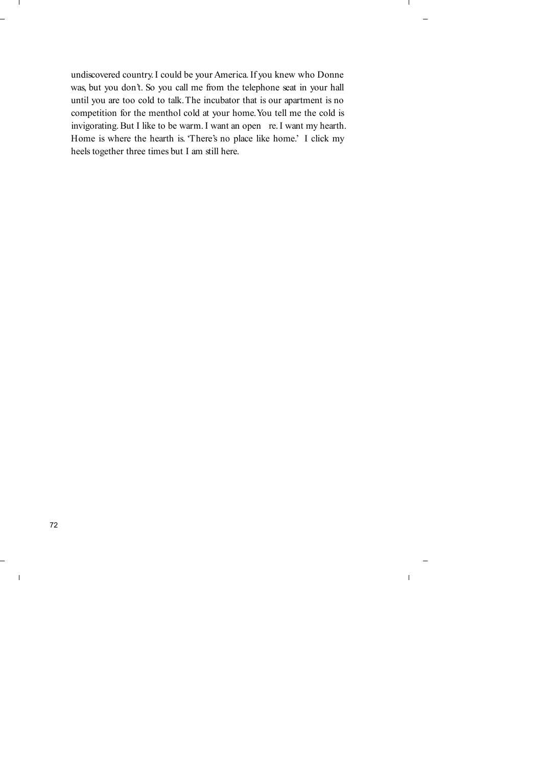undiscovered country. I could be your America. If you knew who Donne was, but you don't. So you call me from the telephone seat in your hall until you are too cold to talk. The incubator that is our apartment is no competition for the menthol cold at your home. You tell me the cold is invigorating. But I like to be warm. I want an open re. I want my hearth. Home is where the hearth is. 'There's no place like home.' I click my heels together three times but I am still here.

 $\mathbf{I}$ 

 $\mathbb T$ 

 $\bar{\mathbb{L}}$ 

 $\mathbf{I}$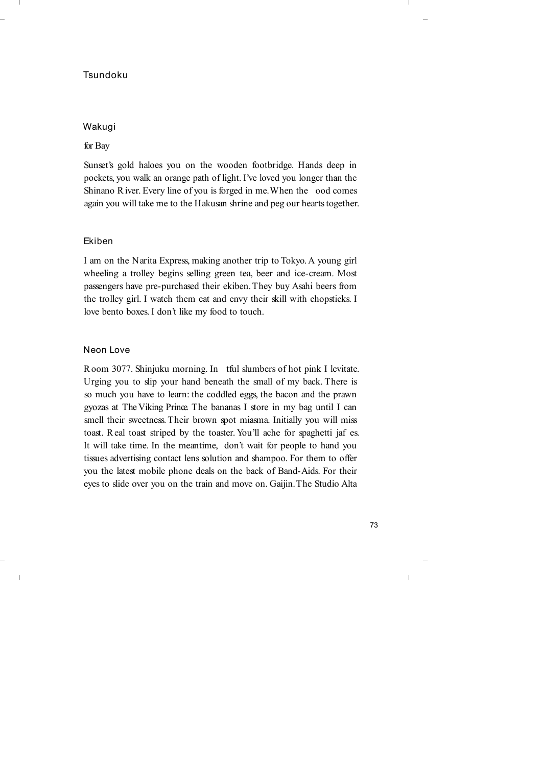# Tsundoku

#### Wakugi

## for Bay

Sunset's gold haloes you on the wooden footbridge. Hands deep in pockets, you walk an orange path of light. I've loved you longer than the Shinano R iver. Every line of you is forged in me. When the ood comes again you will take me to the Hakusan shrine and peg our hearts together.

#### Ekiben

I am on the Narita Express, making another trip to Tokyo. A young girl wheeling a trolley begins selling green tea, beer and ice-cream. Most passengers have pre-purchased their ekiben. They buy Asahi beers from the trolley girl. I watch them eat and envy their skill with chopsticks. I love bento boxes. I don't like my food to touch.

#### Neon Love

 $\mathbf{I}$ 

R oom 3077. Shinjuku morning. In tful slumbers of hot pink I levitate. Urging you to slip your hand beneath the small of my back. There is so much you have to learn: the coddled eggs, the bacon and the prawn gyozas at The Viking Prince. The bananas I store in my bag until I can smell their sweetness. Their brown spot miasma. Initially you will miss toast. R eal toast striped by the toaster. You'll ache for spaghetti jaf es. It will take time. In the meantime, don't wait for people to hand you tissues advertising contact lens solution and shampoo. For them to offer you the latest mobile phone deals on the back of Band-Aids. For their eyes to slide over you on the train and move on. Gaijin. The Studio Alta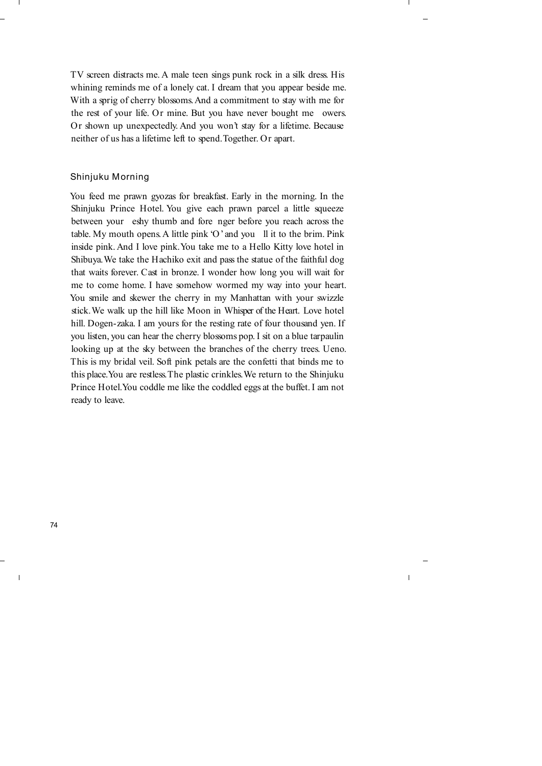TV screen distracts me. A male teen sings punk rock in a silk dress. His whining reminds me of a lonely cat. I dream that you appear beside me. With a sprig of cherry blossoms. And a commitment to stay with me for the rest of your life. Or mine. But you have never bought me owers. Or shown up unexpectedly. And you won't stay for a lifetime. Because neither of us has a lifetime left to spend. Together. Or apart.

#### Shinjuku Morning

You feed me prawn gyozas for breakfast. Early in the morning. In the Shinjuku Prince Hotel. You give each prawn parcel a little squeeze between your eshy thumb and fore nger before you reach across the table. My mouth opens. A little pink 'O' and you ll it to the brim. Pink inside pink. And I love pink. You take me to a Hello Kitty love hotel in Shibuya. We take the Hachiko exit and pass the statue of the faithful dog that waits forever. Cast in bronze. I wonder how long you will wait for me to come home. I have somehow wormed my way into your heart. You smile and skewer the cherry in my Manhattan with your swizzle stick. We walk up the hill like Moon in Whisper of the Heart. Love hotel hill. Dogen-zaka. I am yours for the resting rate of four thousand yen. If you listen, you can hear the cherry blossoms pop. I sit on a blue tarpaulin looking up at the sky between the branches of the cherry trees. Ueno. This is my bridal veil. Soft pink petals are the confetti that binds me to this place. You are restless. The plastic crinkles. We return to the Shinjuku Prince Hotel. You coddle me like the coddled eggs at the buffet. I am not ready to leave.

 $\overline{1}$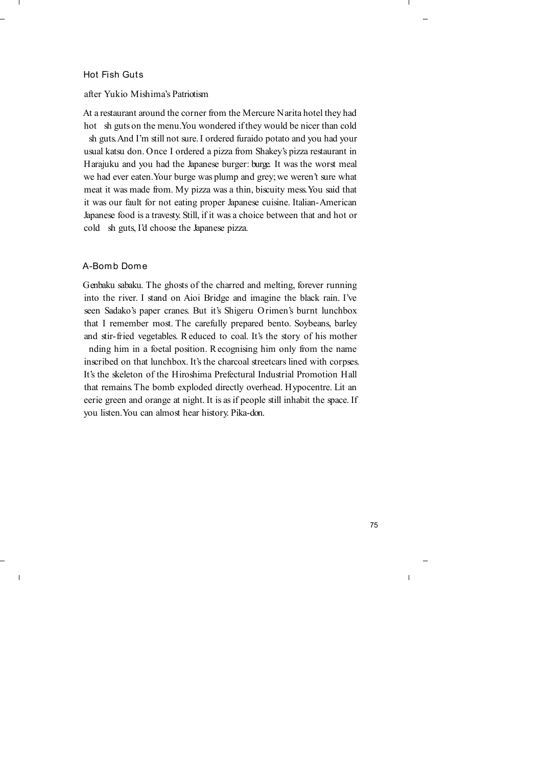## Hot Fish Guts

after Yukio Mishima's Patriotism

At a restaurant around the corner from the Mercure Narita hotel they had hot sh guts on the menu. You wondered if they would be nicer than cold sh guts. And I'm still not sure. I ordered furaido potato and you had your usual katsu don. Once I ordered a pizza from Shakey's pizza restaurant in Harajuku and you had the Japanese burger: burge. It was the worst meal we had ever eaten. Your burge was plump and grey; we weren't sure what meat it was made from. My pizza was a thin, biscuity mess. You said that it was our fault for not eating proper Japanese cuisine. Italian-American Japanese food is a travesty. Still, if it was a choice between that and hot or cold sh guts, I'd choose the Japanese pizza.

## A-Bomb Dome

Genbaku sabaku. The ghosts of the charred and melting, forever running into the river. I stand on Aioi Bridge and imagine the black rain. I've seen Sadako's paper cranes. But it's Shigeru Orimen's burnt lunchbox that I remember most. The carefully prepared bento. Soybeans, barley and stir-fried vegetables. R educed to coal. It's the story of his mother nding him in a foetal position. R ecognising him only from the name inscribed on that lunchbox. It's the charcoal streetcars lined with corpses. It's the skeleton of the Hiroshima Prefectural Industrial Promotion Hall that remains. The bomb exploded directly overhead. Hypocentre. Lit an eerie green and orange at night. It is as if people still inhabit the space. If you listen. You can almost hear history. Pika-don.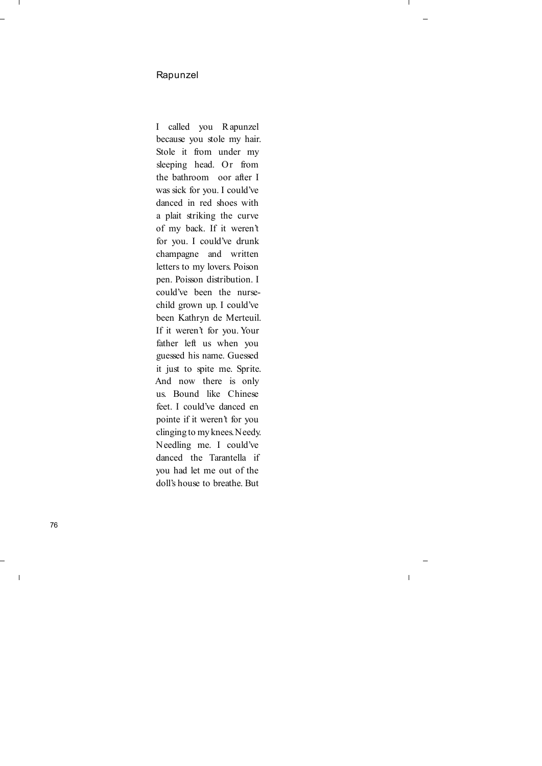-1

 $\overline{1}$ 

I called you R apunzel because you stole my hair. Stole it from under my sleeping head. Or from the bathroom oor after I was sick for you. I could've danced in red shoes with a plait striking the curve of my back. If it weren't for you. I could've drunk champagne and written letters to my lovers. Poison pen. Poisson distribution. I could've been the nursechild grown up. I could've been Kathryn de Merteuil. If it weren't for you. Your father left us when you guessed his name. Guessed it just to spite me. Sprite. And now there is only us. Bound like Chinese feet. I could've danced en pointe if it weren't for you clinging to my knees. Needy. Needling me. I could've danced the Tarantella if you had let me out of the doll's house to breathe. But

76

 $\mathbb{I}$ 

 $\mathbf{I}$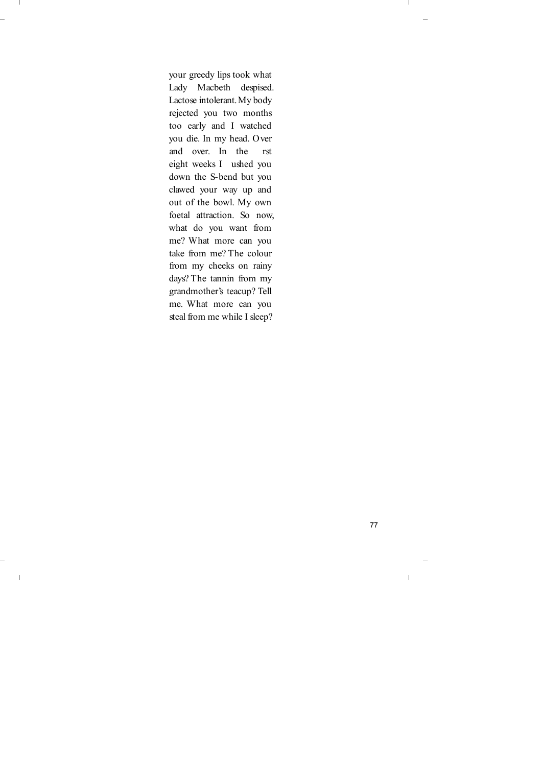your greedy lips took what Lady Macbeth despised. Lactose intolerant. My body rejected you two months too early and I watched you die. In my head. Over and over. In the rst eight weeks I ushed you down the S-bend but you clawed your way up and out of the bowl. My own foetal attraction. So now, what do you want from me? What more can you take from me? The colour from my cheeks on rainy days? The tannin from my grandmother's teacup? Tell me. What more can you steal from me while I sleep?

 $\mathbf{I}$ 

 $\mathbb{I}$ 

77

 $\overline{1}$ 

 $\mathbf{I}$ 

 $\overline{\phantom{a}}$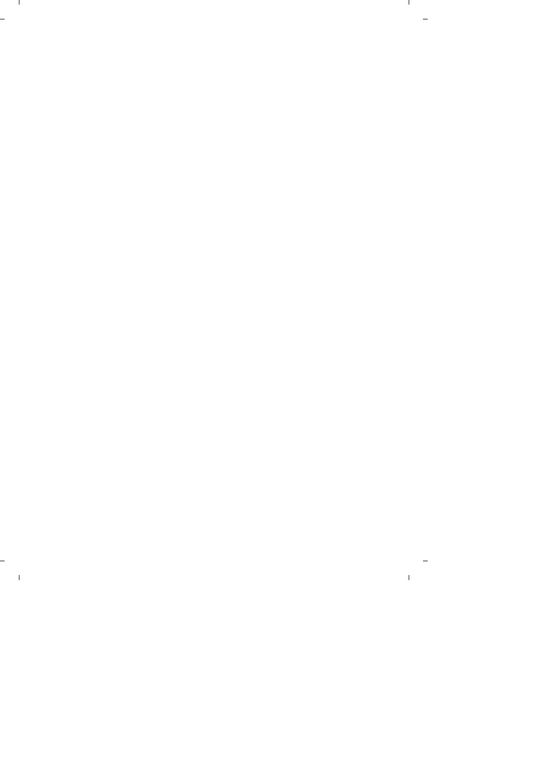$\mathbf{L}$  $\frac{1}{\sqrt{2}}$ 

- 1

 $\begin{array}{c}\n\hline\n\end{array}$ 

 $\overline{a}$ 

 $\frac{1}{\sqrt{2\pi}}\int_{0}^{\sqrt{2\pi}}\frac{1}{\sqrt{2\pi}}\left( \frac{1}{\sqrt{2\pi}}\right) \frac{1}{\sqrt{2\pi}}\int_{0}^{\sqrt{2\pi}}\frac{1}{\sqrt{2\pi}}\left( \frac{1}{\sqrt{2\pi}}\right) \frac{1}{\sqrt{2\pi}}\int_{0}^{\sqrt{2\pi}}\frac{1}{\sqrt{2\pi}}\frac{1}{\sqrt{2\pi}}\frac{1}{\sqrt{2\pi}}\int_{0}^{\sqrt{2\pi}}\frac{1}{\sqrt{2\pi}}\frac{1}{\sqrt{2\pi}}\frac{1}{\sqrt{2\pi}}$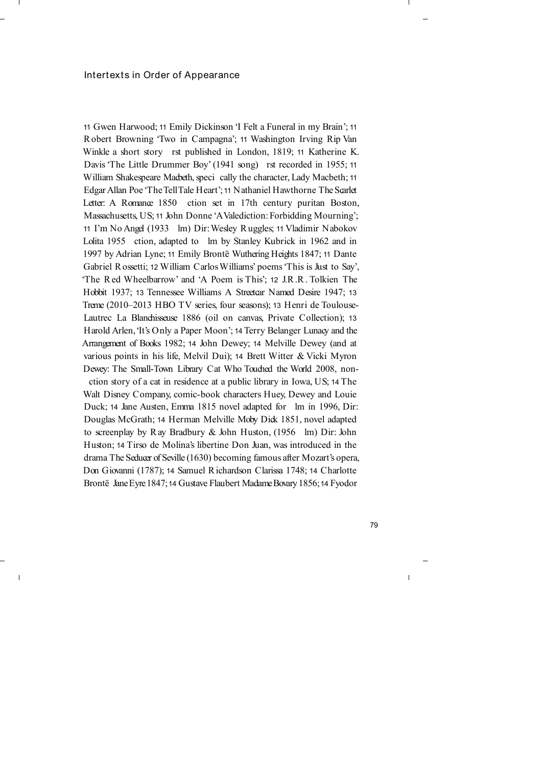#### Intertexts in Order of Appearance

11 Gwen Harwood; 11 Emily Dickinson 'I Felt a Funeral in my Brain'; 11 R obert Browning 'Two in Campagna'; 11 Washington Irving Rip Van Winkle a short story rst published in London, 1819; 11 Katherine K. Davis 'The Little Drummer Boy' (1941 song) rst recorded in 1955; 11 William Shakespeare Madeth, specically the character, Lady Macbeth; 11 Edgar Allan Poe 'The Tell Tale Heart'; 11 Nathaniel Hawthorne The Scarlet Letter: A Romance 1850 ction set in 17th century puritan Boston, Massachusetts, US; 11 John Donne 'A Valediction: Forbidding Mourning'; 11 I'm No Angel (1933 lm) Dir: Wesley R uggles; 11 Vladimir Nabokov Lolita 1955 ction, adapted to lm by Stanley Kubrick in 1962 and in 1997 by Adrian Lyne; 11 Emily Brontë Wuthering Heights 1847; 11 Dante Gabriel R ossetti; 12 William Carlos Williams' poems 'This is Just to Say', 'The R ed Wheelbarrow' and 'A Poem is This'; 12 J.R .R . Tolkien The Hobbit 1937; 13 Tennessee Williams A Streetcar Named Desire 1947; 13 Treme (2010–2013 HBO TV series, four seasons); 13 Henri de Toulouse-Lautrec La Blanchisseuse 1886 (oil on canvas, Private Collection); 13 Harold Arlen, 'It's Only a Paper Moon'; 14 Terry Belanger Lunacy and the Arrangement of Books 1982; 14 John Dewey; 14 Melville Dewey (and at various points in his life, Melvil Dui); 14 Brett Witter & Vicki Myron Dewey: The Small-Town Library Cat Who Touched the World 2008, non ction story of a cat in residence at a public library in Iowa, US; 14 The Walt Disney Company, comic-book characters Huey, Dewey and Louie Duck; 14 Jane Austen, Emma 1815 novel adapted for lm in 1996, Dir: Douglas McGrath; 14 Herman Melville Moby Dick 1851, novel adapted to screenplay by R ay Bradbury & John Huston, (1956 lm) Dir: John Huston; 14 Tirso de Molina's libertine Don Juan, was introduced in the drama The Seducer of Seville (1630) becoming famous after Mozart's opera, Don Giovanni (1787); 14 Samuel R ichardson Clarissa 1748; 14 Charlotte Brontë Jane Eyre 1847; 14 Gustave Flaubert Madame Bovary 1856; 14 Fyodor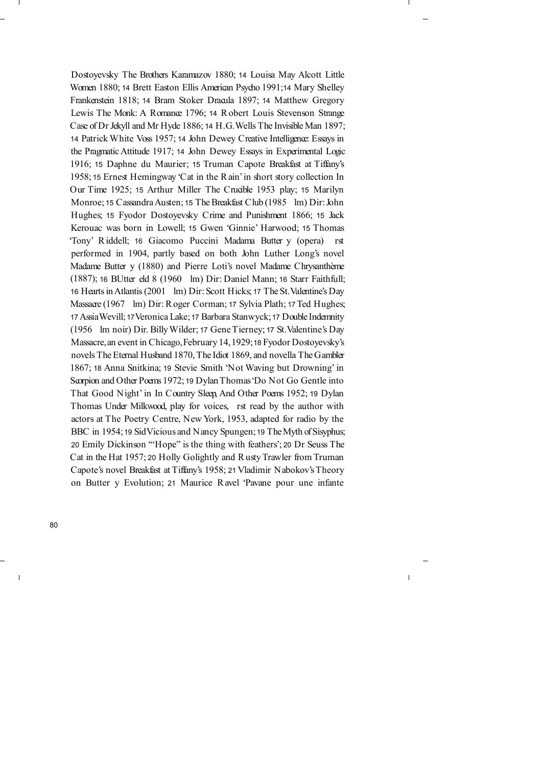Dostoyevsky The Brothers Karamazov 1880; 14 Louisa May Alcott Little Women 1880; 14 Brett Easton Ellis American Psycho 1991;14 Mary Shelley Frankenstein 1818; 14 Bram Stoker Dracula 1897; 14 Matthew Gregory Lewis The Monk: A Romance 1796; 14 R obert Louis Stevenson Strange Case of Dr Jekyll and Mr Hyde 1886; 14 H.G. Wells The Invisible Man 1897; 14 Patrick White Voss 1957; 14 John Dewey Creative Intelligence: Essays in the Pragmatic Attitude 1917; 14 John Dewey Essays in Experimental Logic 1916; 15 Daphne du Maurier; 15 Truman Capote Breakfast at Tiffany's 1958; 15 Ernest Hemingway 'Cat in the R ain' in short story collection In Our Time 1925; 15 Arthur Miller The Crucible 1953 play; 15 Marilyn Monroe; 15 Cassandra Austen; 15 The Breakfast Club (1985 lm) Dir: John Hughes; 15 Fyodor Dostoyevsky Crime and Punishment 1866; 15 Jack Kerouac was born in Lowell; 15 Gwen 'Ginnie' Harwood; 15 Thomas 'Tony' R iddell; 16 Giacomo Puccini Madama Butter y (opera) rst performed in 1904, partly based on both John Luther Long's novel Madame Butter y (1880) and Pierre Loti's novel Madame Chrysanthème (1887); 16 BUtter eld 8 (1960 lm) Dir: Daniel Mann; 16 Starr Faithfull; 16 Hearts in Atlantis (2001 lm) Dir: Scott Hicks; 17 The St. Valentine's Day Massacre (1967 lm) Dir: R oger Corman; 17 Sylvia Plath; 17 Ted Hughes; 17 Assia Wevill; 17 Veronica Lake; 17 Barbara Stanwyck; 17 Double Indemnity (1956 lm noir) Dir. Billy Wilder; 17 Gene Tierney; 17 St. Valentine's Day Massacre, an event in Chicago, February 14, 1929; 18 Fyodor Dostoyevsky's novels The Eternal Husband 1870, The Idiot 1869, and novella The Gambler 1867; 18 Anna Snitkina; 19 Stevie Smith 'Not Waving but Drowning' in Scorpion and Other Poems 1972; 19 Dylan Thomas 'Do Not Go Gentle into That Good Night' in In Country Sleep, And Other Poems 1952; 19 Dylan Thomas Under Milkwood, play for voices, rst read by the author with actors at The Poetry Centre, New York, 1953, adapted for radio by the BBC in 1954; 19 Sid Vicious and Nancy Spungen; 19 The Myth of Sisyphus; 20 Emily Dickinson '"Hope" is the thing with feathers'; 20 Dr Seuss The Cat in the Hat 1957; 20 Holly Golightly and R usty Trawler from Truman Capote's novel Breakfast at Tiffany's 1958; 21 Vladimir Nabokov's Theory on Butter y Evolution; 21 Maurice R avel 'Pavane pour une infante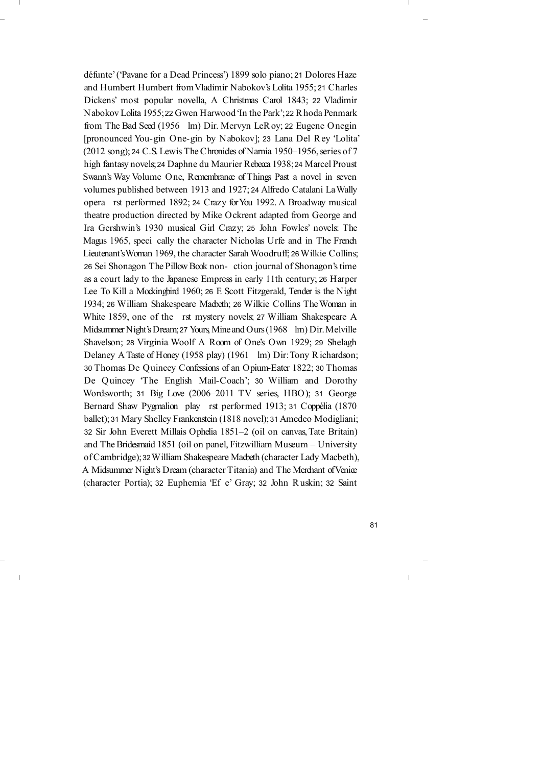défunte' ('Pavane for a Dead Princess') 1899 solo piano; 21 Dolores Haze and Humbert Humbert from Vladimir Nabokov's Lolita 1955; 21 Charles Dickens' most popular novella, A Christmas Carol 1843; 22 Vladimir Nabokov Lolita 1955; 22 Gwen Harwood 'In the Park'; 22 R hoda Penmark from The Bad Seed (1956 lm) Dir. Mervyn LeR oy; 22 Eugene Onegin [pronounced You-gin One-gin by Nabokov]; 23 Lana Del R ey 'Lolita' (2012 song); 24 C.S. Lewis The Chronides of Narnia 1950–1956, series of 7 high fantasy novels; 24 Daphne du Maurier Rebecca 1938; 24 Marcel Proust Swann's Way Volume One, Remembrance of Things Past a novel in seven volumes published between 1913 and 1927; 24 Alfredo Catalani La Wally opera rst performed 1892; 24 Crazy for You 1992. A Broadway musical theatre production directed by Mike Ockrent adapted from George and Ira Gershwin's 1930 musical Girl Crazy; 25 John Fowles' novels: The Magus 1965, specically the character Nicholas Urfe and in The French Lieutenant's Woman 1969, the character Sarah Woodruff; 26 Wilkie Collins; 26 Sei Shonagon The Pillow Book non-ction journal of Shonagon's time as a court lady to the Japanese Empress in early 11th century; 26 Harper Lee To Kill a Mockingbird 1960; 26 F. Scott Fitzgerald, Tender is the Night 1934; 26 William Shakespeare Macbeth; 26 Wilkie Collins The Woman in White 1859, one of the rst mystery novels; 27 William Shakespeare A Midsummer Night's Dream; 27 Yours, Mine and Ours (1968 lm) Dir. Melville Shavelson; 28 Virginia Woolf A Room of One's Own 1929; 29 Shelagh Delaney A Taste of Honey (1958 play) (1961 lm) Dir: Tony R ichardson; 30 Thomas De Quincey Confessions of an Opium-Eater 1822; 30 Thomas De Quincey 'The English Mail-Coach'; 30 William and Dorothy Wordsworth; 31 Big Love (2006–2011 TV series, HBO); 31 George Bernard Shaw Pygmalion play rst performed 1913; 31 Coppélia (1870) ballet); 31 Mary Shelley Frankenstein (1818 novel); 31 Amedeo Modigliani; 32 Sir John Everett Millais Ophelia 1851–2 (oil on canvas, Tate Britain) and The Bridesmaid 1851 (oil on panel, Fitzwilliam Museum – University of Cambridge); 32 William Shakespeare Macbeth (character Lady Macbeth), A Midsummer Night's Dream (character Titania) and The Merchant of Venice (character Portia); 32 Euphemia 'Ef e' Gray; 32 John Ruskin; 32 Saint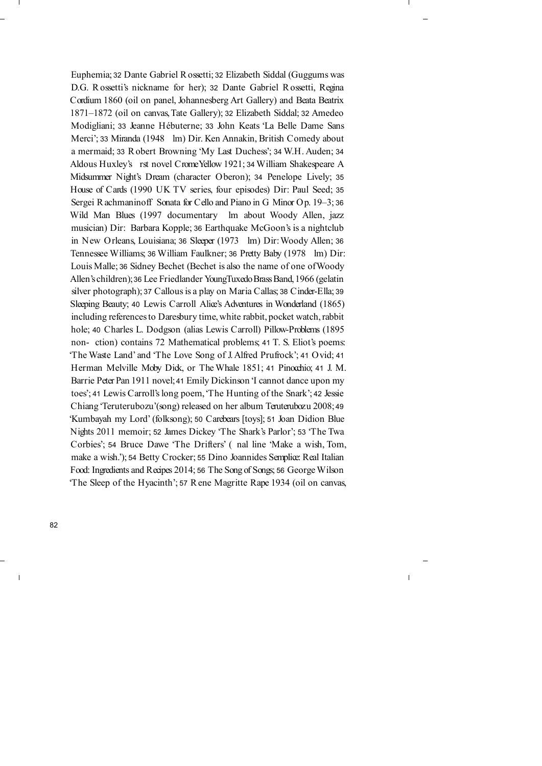Euphemia; 32 Dante Gabriel R ossetti; 32 Elizabeth Siddal (Guggums was D.G. R ossetti's nickname for her); 32 Dante Gabriel R ossetti, Regina Cordium 1860 (oil on panel, Johannesberg Art Gallery) and Beata Beatrix 1871–1872 (oil on canvas, Tate Gallery); 32 Elizabeth Siddal; 32 Amedeo Modigliani; 33 Jeanne Hébuterne; 33 John Keats 'La Belle Dame Sans Merci'; 33 Miranda (1948 lm) Dir. Ken Annakin, British Comedy about a mermaid; 33 R obert Browning 'My Last Duchess'; 34 W.H. Auden; 34 Aldous Huxley's rst novel Crome Yellow 1921; 34 William Shakespeare A Midsummer Night's Dream (character Oberon); 34 Penelope Lively; 35 House of Cards (1990 UK TV series, four episodes) Dir: Paul Seed; 35 Sergei R achmaninoff Sonata for Cello and Piano in G Minor Op. 19–3; 36 Wild Man Blues (1997 documentary lm about Woody Allen, jazz musician) Dir: Barbara Kopple; 36 Earthquake McGoon's is a nightclub in New Orleans, Louisiana; 36 Sleeper (1973 lm) Dir: Woody Allen; 36 Tennessee Williams; 36 William Faulkner; 36 Pretty Baby (1978 lm) Dir: Louis Malle; 36 Sidney Bechet (Bechet is also the name of one of Woody Allen's children); 36 Lee Friedlander Young Tuxedo Brass Band, 1966 (gelatin silver photograph); 37 Callous is a play on Maria Callas; 38 Cinder-Ella; 39 Sleeping Beauty; 40 Lewis Carroll Alice's Adventures in Wonderland (1865) including references to Daresbury time, white rabbit, pocket watch, rabbit hole; 40 Charles L. Dodgson (alias Lewis Carroll) Pillow-Problems (1895 non-ction) contains 72 Mathematical problems; 41 T. S. Eliot's poems: 'The Waste Land' and 'The Love Song of J. Alfred Prufrock'; 41 Ovid; 41 Herman Melville Moby Dick, or The Whale 1851; 41 Pinocchio; 41 J. M. Barrie Peter Pan 1911 novel; 41 Emily Dickinson 'I cannot dance upon my toes'; 41 Lewis Carroll's long poem, 'The Hunting of the Snark'; 42 Jessie Chiang 'Teruterubozu'(song) released on her album Teruterubozu 2008; 49 'Kumbayah my Lord' (folksong); 50 Carebears [toys]; 51 Joan Didion Blue Nights 2011 memoir; 52 James Dickey 'The Shark's Parlor'; 53 'The Twa Corbies'; 54 Bruce Dawe 'The Drifters' (nal line 'Make a wish, Tom, make a wish.'); 54 Betty Crocker; 55 Dino Joannides Semplice: Real Italian Food: Ingredients and Recipes 2014; 56 The Song of Songs; 56 George Wilson 'The Sleep of the Hyacinth'; 57 R ene Magritte Rape 1934 (oil on canvas,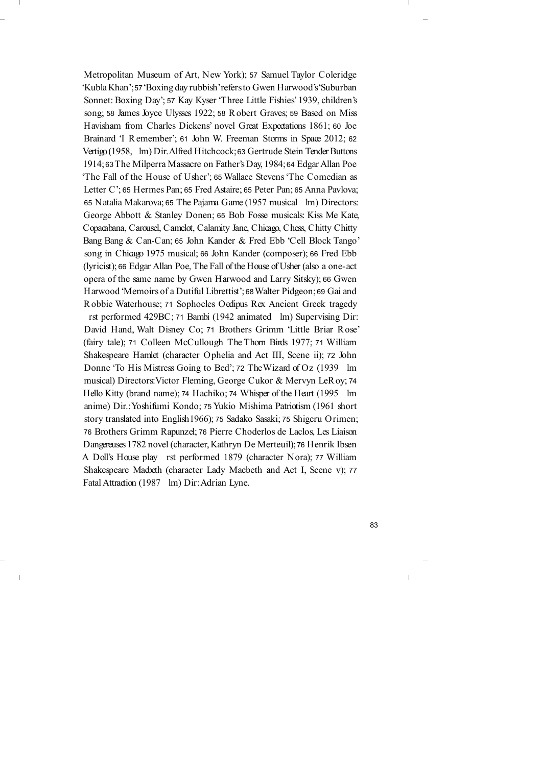Metropolitan Museum of Art, New York); 57 Samuel Taylor Coleridge 'Kubla Khan'; 57 'Boxing day rubbish' refers to Gwen Harwood's 'Suburban Sonnet: Boxing Day'; 57 Kay Kyser 'Three Little Fishies' 1939, children's song; 58 James Joyce Ulysses 1922; 58 R obert Graves; 59 Based on Miss Havisham from Charles Dickens' novel Great Expectations 1861; 60 Joe Brainard 'I R emember'; 61 John W. Freeman Storms in Space 2012; 62 Vertigo (1958, lm) Dir. Alfred Hitchcock; 63 Gertrude Stein Tender Buttons 1914; 63 The Milperra Massacre on Father's Day, 1984; 64 Edgar Allan Poe 'The Fall of the House of Usher'; 65 Wallace Stevens 'The Comedian as Letter C'; 65 Hermes Pan; 65 Fred Astaire; 65 Peter Pan; 65 Anna Pavlova; 65 Natalia Makarova; 65 The Pajama Game (1957 musical lm) Directors: George Abbott & Stanley Donen; 65 Bob Fosse musicals: Kiss Me Kate, Copacabana, Carousel, Camelot, Calamity Jane, Chicago, Chess, Chitty Chitty Bang Bang & Can-Can; 65 John Kander & Fred Ebb 'Cell Block Tango' song in Chicago 1975 musical; 66 John Kander (composer); 66 Fred Ebb (lyricist); 66 Edgar Allan Poe, The Fall of the House of Usher (also a one-act opera of the same name by Gwen Harwood and Larry Sitsky); 66 Gwen Harwood 'Memoirs of a Dutiful Librettist'; 68 Walter Pidgeon; 69 Gai and R obbie Waterhouse; 71 Sophocles Oedipus Rex Ancient Greek tragedy rst performed 429BC; 71 Bambi (1942 animated lm) Supervising Dir: David Hand, Walt Disney Co; 71 Brothers Grimm 'Little Briar R ose' (fairy tale); 71 Colleen McCullough The Thorn Birds 1977; 71 William Shakespeare Hamlet (character Ophelia and Act III, Scene ii); 72 John Donne 'To His Mistress Going to Bed'; 72 The Wizard of Oz (1939 lm musical) Directors: Victor Fleming, George Cukor & Mervyn LeR oy; 74 Hello Kitty (brand name); 74 Hachiko; 74 Whisper of the Heart (1995 lm anime) Dir.: Yoshifumi Kondo; 75 Yukio Mishima Patriotism (1961 short story translated into English1966); 75 Sadako Sasaki; 75 Shigeru Orimen; 76 Brothers Grimm Rapunzel; 76 Pierre Choderlos de Laclos, Les Liaison Dangereuses 1782 novel (character, Kathryn De Merteuil); 76 Henrik Ibsen A Doll's House play rst performed 1879 (character Nora); 77 William Shakespeare Macbeth (character Lady Macbeth and Act I, Scene v); 77 Fatal Attraction (1987 lm) Dir: Adrian Lyne.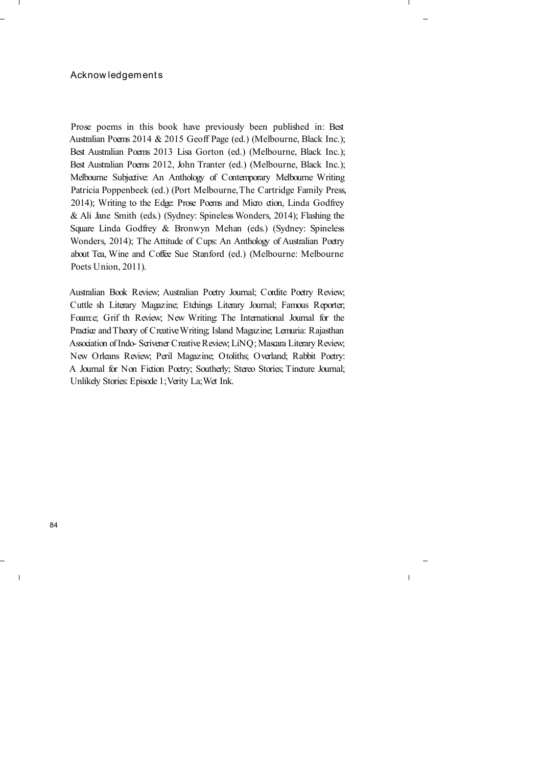### Acknow ledgements

Prose poems in this book have previously been published in: Best Australian Poems 2014 & 2015 Geoff Page (ed.) (Melbourne, Black Inc.); Best Australian Poems 2013 Lisa Gorton (ed.) (Melbourne, Black Inc.); Best Australian Poems 2012, John Tranter (ed.) (Melbourne, Black Inc.); Melbourne Subjective: An Anthology of Contemporary Melbourne Writing Patricia Poppenbeek (ed.) (Port Melbourne, The Cartridge Family Press, 2014); Writing to the Edge: Prose Poems and Micro ction, Linda Godfrey & Ali Jane Smith (eds.) (Sydney: Spineless Wonders, 2014); Flashing the Square Linda Godfrey & Bronwyn Mehan (eds.) (Sydney: Spineless Wonders, 2014); The Attitude of Cups: An Anthology of Australian Poetry about Tea, Wine and Coffee Sue Stanford (ed.) (Melbourne: Melbourne Poets Union, 2011).

Australian Book Review; Australian Poetry Journal; Cordite Poetry Review; Cuttle sh Literary Magazine; Etchings Literary Journal; Famous Reporter; Foam:e; Grif th Review; New Writing: The International Journal for the Practice and Theory of Creative Writing; Island Magazine; Lemuria: Rajasthan Association of Indo- Scrivener Creative Review; LiNQ; Mascara Literary Review; New Orleans Review; Peril Magazine; Otoliths; Overland; Rabbit Poetry: A Journal for Non Fiction Poetry; Southerly; Stereo Stories; Tincture Journal; Unlikely Stories: Episode 1; Verity La; Wet Ink.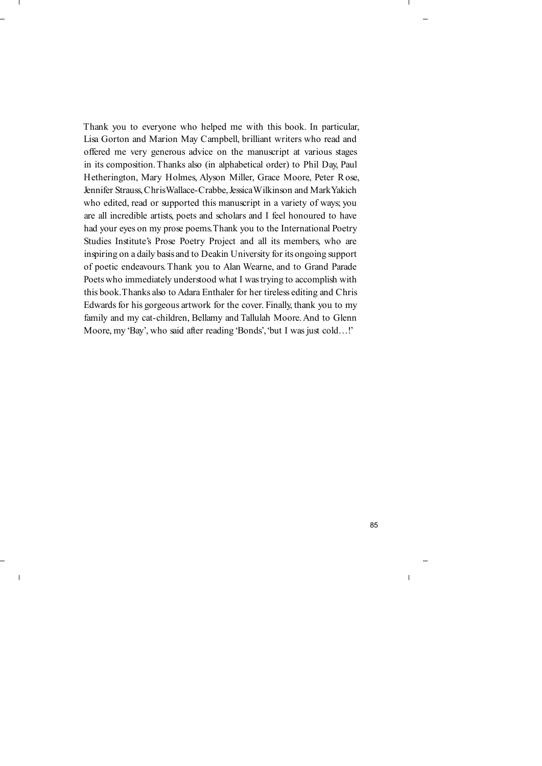Thank you to everyone who helped me with this book. In particular, Lisa Gorton and Marion May Campbell, brilliant writers who read and offered me very generous advice on the manuscript at various stages in its composition. Thanks also (in alphabetical order) to Phil Day, Paul Hetherington, Mary Holmes, Alyson Miller, Grace Moore, Peter R ose, Jennifer Strauss, Chris Wallace-Crabbe, Jessica Wilkinson and Mark Yakich who edited, read or supported this manuscript in a variety of ways; you are all incredible artists, poets and scholars and I feel honoured to have had your eyes on my prose poems. Thank you to the International Poetry Studies Institute's Prose Poetry Project and all its members, who are inspiring on a daily basis and to Deakin University for its ongoing support of poetic endeavours. Thank you to Alan Wearne, and to Grand Parade Poets who immediately understood what I was trying to accomplish with this book. Thanks also to Adara Enthaler for her tireless editing and Chris Edwards for his gorgeous artwork for the cover. Finally, thank you to my family and my cat-children, Bellamy and Tallulah Moore. And to Glenn Moore, my 'Bay', who said after reading 'Bonds', 'but I was just cold…!'

 $\mathbf{I}$ 

85

 $\overline{1}$